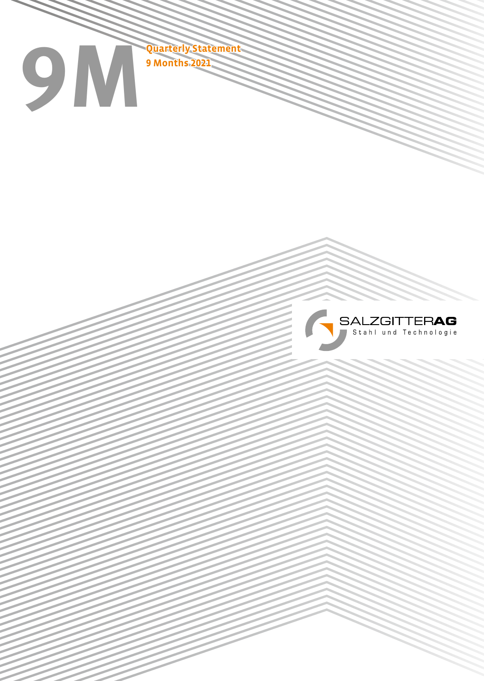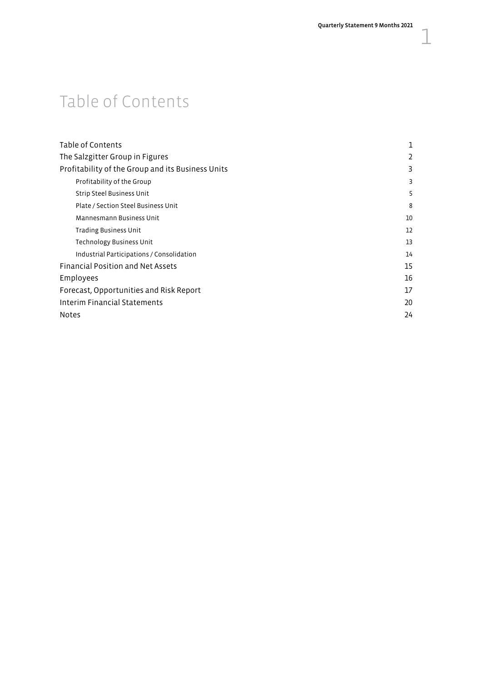## Table of Contents

| Table of Contents                                 | 1  |
|---------------------------------------------------|----|
| The Salzgitter Group in Figures                   | 2  |
| Profitability of the Group and its Business Units | 3  |
| Profitability of the Group                        | 3  |
| Strip Steel Business Unit                         | 5  |
| Plate / Section Steel Business Unit               | 8  |
| Mannesmann Business Unit                          | 10 |
| Trading Business Unit                             | 12 |
| <b>Technology Business Unit</b>                   | 13 |
| Industrial Participations / Consolidation         | 14 |
| <b>Financial Position and Net Assets</b>          | 15 |
| Employees                                         | 16 |
| Forecast, Opportunities and Risk Report           | 17 |
| Interim Financial Statements                      | 20 |
| <b>Notes</b>                                      | 24 |
|                                                   |    |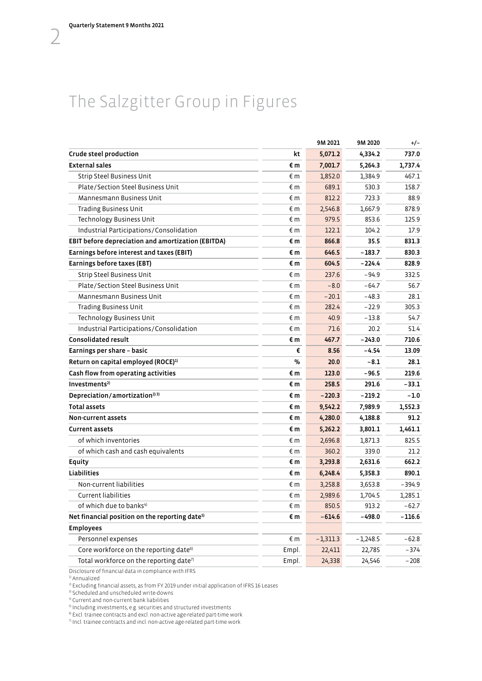## <span id="page-3-0"></span>The Salzgitter Group in Figures

|                                                            |              | 9M 2021    | 9M 2020    | $+/-$    |
|------------------------------------------------------------|--------------|------------|------------|----------|
| Crude steel production                                     | kt           | 5,071.2    | 4,334.2    | 737.0    |
| <b>External sales</b>                                      | €m           | 7,001.7    | 5,264.3    | 1.737.4  |
| <b>Strip Steel Business Unit</b>                           | €m           | 1,852.0    | 1,384.9    | 467.1    |
| Plate/Section Steel Business Unit                          | € m          | 689.1      | 530.3      | 158.7    |
| Mannesmann Business Unit                                   | € m          | 812.2      | 723.3      | 88.9     |
| <b>Trading Business Unit</b>                               | €m           | 2,546.8    | 1,667.9    | 878.9    |
| Technology Business Unit                                   | € m          | 979.5      | 853.6      | 125.9    |
| Industrial Participations/Consolidation                    | €m           | 122.1      | 104.2      | 17.9     |
| EBIT before depreciation and amortization (EBITDA)         | €m           | 866.8      | 35.5       | 831.3    |
| Earnings before interest and taxes (EBIT)                  | €m           | 646.5      | $-183.7$   | 830.3    |
| Earnings before taxes (EBT)                                | €m           | 604.5      | $-224.4$   | 828.9    |
| <b>Strip Steel Business Unit</b>                           | € m          | 237.6      | $-94.9$    | 332.5    |
| Plate/Section Steel Business Unit                          | € m          | $-8.0$     | $-64.7$    | 56.7     |
| Mannesmann Business Unit                                   | €m           | $-20.1$    | $-48.3$    | 28.1     |
| <b>Trading Business Unit</b>                               | €m           | 282.4      | $-22.9$    | 305.3    |
| Technology Business Unit                                   | $\epsilon$ m | 40.9       | $-13.8$    | 54.7     |
| Industrial Participations/Consolidation                    | € m          | 71.6       | 20.2       | 51.4     |
| <b>Consolidated result</b>                                 | €m           | 467.7      | $-243.0$   | 710.6    |
| Earnings per share - basic                                 | €            | 8.56       | $-4.54$    | 13.09    |
| Return on capital employed (ROCE) <sup>1)</sup>            | $\%$         | 20.0       | $-8.1$     | 28.1     |
| Cash flow from operating activities                        | €m           | 123.0      | -96.5      | 219.6    |
| Investments <sup>2)</sup>                                  | €m           | 258.5      | 291.6      | - 33.1   |
| Depreciation/amortization <sup>2) 3)</sup>                 | €m           | $-220.3$   | $-219.2$   | $-1.0$   |
| <b>Total assets</b>                                        | €m           | 9,542.2    | 7,989.9    | 1,552.3  |
| Non-current assets                                         | €m           | 4,280.0    | 4,188.8    | 91.2     |
| <b>Current assets</b>                                      | €m           | 5,262.2    | 3,801.1    | 1,461.1  |
| of which inventories                                       | € m          | 2,696.8    | 1,871.3    | 825.5    |
| of which cash and cash equivalents                         | € m          | 360.2      | 339.0      | 21.2     |
| Equity                                                     | €m           | 3,293.8    | 2,631.6    | 662.2    |
| <b>Liabilities</b>                                         | €m           | 6,248.4    | 5,358.3    | 890.1    |
| Non-current liabilities                                    | € m          | 3,258.8    | 3,653.8    | $-394.9$ |
| <b>Current liabilities</b>                                 | €m           | 2,989.6    | 1,704.5    | 1,285.1  |
| of which due to banks <sup>4)</sup>                        | €m           | 850.5      | 913.2      | $-62.7$  |
| Net financial position on the reporting date <sup>5)</sup> | €m           | $-614.6$   | $-498.0$   | $-116.6$ |
| <b>Employees</b>                                           |              |            |            |          |
| Personnel expenses                                         | €m           | $-1,311.3$ | $-1,248.5$ | $-62.8$  |
| Core workforce on the reporting date <sup>6)</sup>         | Empl.        | 22,411     | 22,785     | $-374$   |
| Total workforce on the reporting date <sup>7)</sup>        | Empl.        | 24,338     | 24,546     | $-208$   |

Disclosure of financial data in compliance with IFRS 1) Annualized

 $^{2)}$  Excluding financial assets, as from FY 2019 under initial application of IFRS 16 Leases  $^{3)}$  Scheduled and unscheduled write-downs

 $^{\textrm{\tiny{\textrm{4}}}}$  Current and non-current bank liabilities<br> $^{\textrm{\tiny{\textrm{5}}}}$  Including investments, e.g. securities and structured investments

<sup>6)</sup> Excl. trainee contracts and excl. non-active age-related part-time work

 $7$  Incl. trainee contracts and incl. non-active age-related part-time work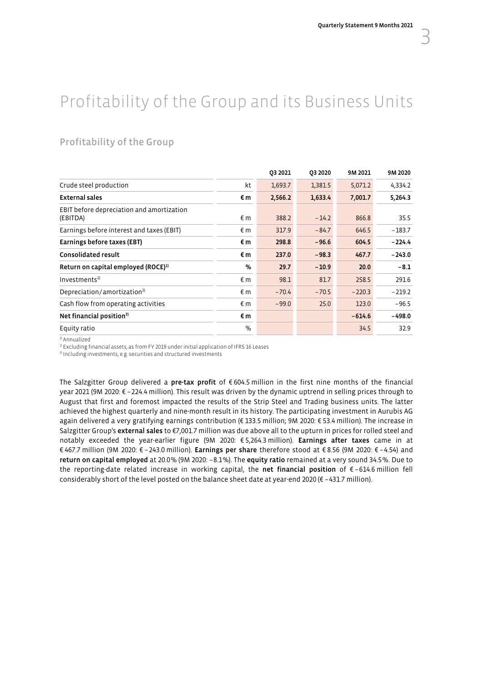## <span id="page-4-0"></span>Profitability of the Group and its Business Units

## Profitability of the Group

|                                                       |              | 03 2021 | 03 20 20 | 9M 2021  | 9M 2020  |
|-------------------------------------------------------|--------------|---------|----------|----------|----------|
| Crude steel production                                | kt           | 1,693.7 | 1,381.5  | 5,071.2  | 4,334.2  |
| <b>External sales</b>                                 | €m           | 2,566.2 | 1,633.4  | 7,001.7  | 5,264.3  |
| EBIT before depreciation and amortization<br>(EBITDA) | $\epsilon$ m | 388.2   | $-14.2$  | 866.8    | 35.5     |
| Earnings before interest and taxes (EBIT)             | $\epsilon$ m | 317.9   | $-84.7$  | 646.5    | $-183.7$ |
| Earnings before taxes (EBT)                           | €m           | 298.8   | $-96.6$  | 604.5    | $-224.4$ |
| <b>Consolidated result</b>                            | €m           | 237.0   | $-98.3$  | 467.7    | $-243.0$ |
| Return on capital employed (ROCE) <sup>1)</sup>       | %            | 29.7    | $-10.9$  | 20.0     | $-8.1$   |
| Investments <sup>2</sup>                              | $\epsilon$ m | 98.1    | 81.7     | 258.5    | 291.6    |
| Depreciation/amortization <sup>2)</sup>               | $\epsilon$ m | $-70.4$ | $-70.5$  | $-220.3$ | $-219.2$ |
| Cash flow from operating activities                   | $\epsilon$ m | $-99.0$ | 25.0     | 123.0    | $-96.5$  |
| Net financial position <sup>3)</sup>                  | €m           |         |          | $-614.6$ | $-498.0$ |
| Equity ratio                                          | $\%$         |         |          | 34.5     | 32.9     |

<sup>1)</sup> Annualized

<sup>2)</sup> Excluding financial assets, as from FY 2019 under initial application of IFRS 16 Leases <sup>3</sup>) Including investments, e.g. securities and structured investments

The Salzgitter Group delivered a pre-tax profit of  $\epsilon$  604.5 million in the first nine months of the financial year 2021 (9M 2020: € –224.4 million). This result was driven by the dynamic uptrend in selling prices through to August that first and foremost impacted the results of the Strip Steel and Trading business units. The latter achieved the highest quarterly and nine-month result in its history. The participating investment in Aurubis AG again delivered a very gratifying earnings contribution (€ 133.5 million; 9M 2020: € 53.4 million). The increase in Salzgitter Group's external sales to €7,001.7 million was due above all to the upturn in prices for rolled steel and notably exceeded the year-earlier figure (9M 2020: € 5,264.3 million). Earnings after taxes came in at € 467.7 million (9M 2020: € –243.0 million). Earnings per share therefore stood at € 8.56 (9M 2020: € –4.54) and return on capital employed at 20.0% (9M 2020: –8.1%). The equity ratio remained at a very sound 34.5%. Due to the reporting-date related increase in working capital, the net financial position of  $\epsilon$ -614.6 million fell considerably short of the level posted on the balance sheet date at year-end 2020 ( $\epsilon$  -431.7 million).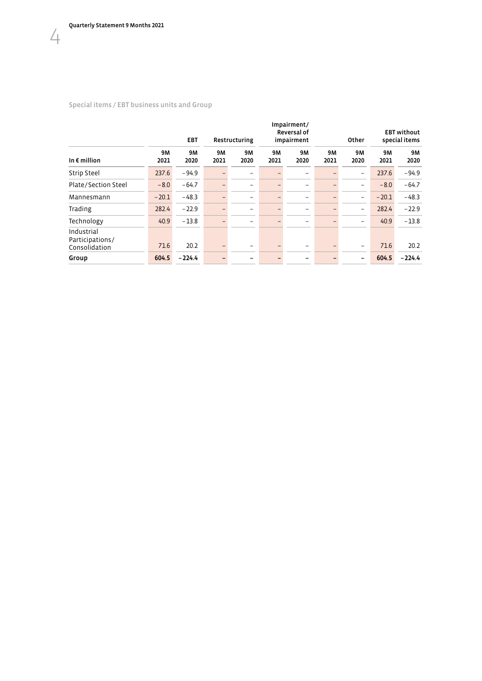### Special items / EBT business units and Group

|                                                |                   | <b>EBT</b><br>Restructuring |            |                          |                          | Impairment/<br>Reversal of<br>impairment |                   | Other                    |                   |                   | <b>EBT</b> without<br>special items |
|------------------------------------------------|-------------------|-----------------------------|------------|--------------------------|--------------------------|------------------------------------------|-------------------|--------------------------|-------------------|-------------------|-------------------------------------|
| In $\epsilon$ million                          | <b>9M</b><br>2021 | 9M<br>2020                  | 9M<br>2021 | 9M<br>2020               | <b>9M</b><br>2021        | 9M<br>2020                               | <b>9M</b><br>2021 | <b>9M</b><br>2020        | <b>9M</b><br>2021 | <b>9M</b><br>2020 |                                     |
| <b>Strip Steel</b>                             | 237.6             | $-94.9$                     |            |                          | -                        | -                                        |                   | $\overline{\phantom{0}}$ | 237.6             | $-94.9$           |                                     |
| Plate/Section Steel                            | $-8.0$            | $-64.7$                     |            |                          | $\overline{\phantom{0}}$ | $\overline{\phantom{0}}$                 |                   | $\overline{\phantom{0}}$ | $-8.0$            | $-64.7$           |                                     |
| Mannesmann                                     | $-20.1$           | $-48.3$                     |            | $\qquad \qquad$          | $\overline{\phantom{0}}$ | $\overline{\phantom{0}}$                 |                   | $\overline{\phantom{0}}$ | $-20.1$           | $-48.3$           |                                     |
| Trading                                        | 282.4             | $-22.9$                     |            | $\overline{\phantom{m}}$ | $\overline{\phantom{0}}$ | $\overline{\phantom{0}}$                 |                   | $\overline{\phantom{m}}$ | 282.4             | $-22.9$           |                                     |
| Technology                                     | 40.9              | $-13.8$                     |            |                          | $\overline{\phantom{0}}$ | $\overline{\phantom{0}}$                 |                   | -                        | 40.9              | $-13.8$           |                                     |
| Industrial<br>Participations/<br>Consolidation | 71.6              | 20.2                        |            |                          | -                        | -                                        |                   | $\overline{\phantom{a}}$ | 71.6              | 20.2              |                                     |
| Group                                          | 604.5             | $-224.4$                    |            |                          |                          |                                          |                   | $\overline{\phantom{0}}$ | 604.5             | $-224.4$          |                                     |
|                                                |                   |                             |            |                          |                          |                                          |                   |                          |                   |                   |                                     |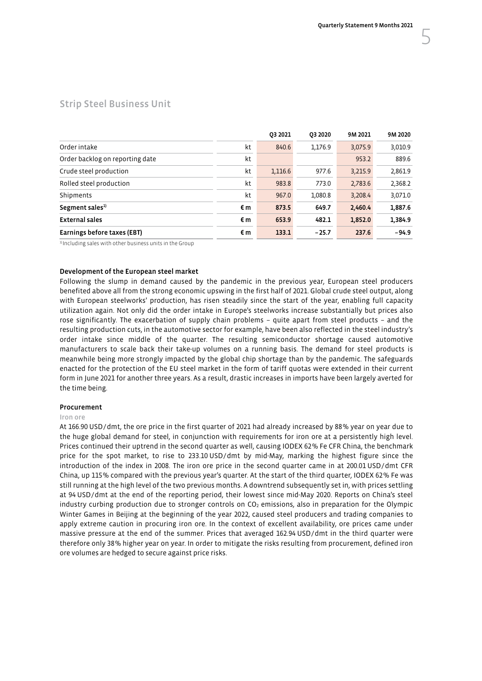## <span id="page-6-0"></span>Strip Steel Business Unit

|                                 |    | 03 20 21 | 03 20 20 | 9M 2021 | 9M 2020 |
|---------------------------------|----|----------|----------|---------|---------|
| Order intake                    | kt | 840.6    | 1,176.9  | 3,075.9 | 3,010.9 |
| Order backlog on reporting date | kt |          |          | 953.2   | 889.6   |
| Crude steel production          | kt | 1,116.6  | 977.6    | 3,215.9 | 2,861.9 |
| Rolled steel production         | kt | 983.8    | 773.0    | 2,783.6 | 2,368.2 |
| Shipments                       | kt | 967.0    | 1,080.8  | 3,208.4 | 3,071.0 |
| Segment sales <sup>1)</sup>     | €m | 873.5    | 649.7    | 2,460.4 | 1,887.6 |
| <b>External sales</b>           | €m | 653.9    | 482.1    | 1,852.0 | 1,384.9 |
| Earnings before taxes (EBT)     | €m | 133.1    | $-25.7$  | 237.6   | $-94.9$ |
|                                 |    |          |          |         |         |

<sup>1)</sup> Including sales with other business units in the Group

### Development of the European steel market

Following the slump in demand caused by the pandemic in the previous year, European steel producers benefited above all from the strong economic upswing in the first half of 2021. Global crude steel output, along with European steelworks' production, has risen steadily since the start of the year, enabling full capacity utilization again. Not only did the order intake in Europe's steelworks increase substantially but prices also rose significantly. The exacerbation of supply chain problems – quite apart from steel products – and the resulting production cuts, in the automotive sector for example, have been also reflected in the steel industry's order intake since middle of the quarter. The resulting semiconductor shortage caused automotive manufacturers to scale back their take-up volumes on a running basis. The demand for steel products is meanwhile being more strongly impacted by the global chip shortage than by the pandemic. The safeguards enacted for the protection of the EU steel market in the form of tariff quotas were extended in their current form in June 2021 for another three years. As a result, drastic increases in imports have been largely averted for the time being.

#### Procurement

#### Iron ore

At 166.90 USD/dmt, the ore price in the first quarter of 2021 had already increased by 88% year on year due to the huge global demand for steel, in conjunction with requirements for iron ore at a persistently high level. Prices continued their uptrend in the second quarter as well, causing IODEX 62% Fe CFR China, the benchmark price for the spot market, to rise to 233.10 USD/dmt by mid-May, marking the highest figure since the introduction of the index in 2008. The iron ore price in the second quarter came in at 200.01 USD/dmt CFR China, up 115% compared with the previous year's quarter. At the start of the third quarter, IODEX 62% Fe was still running at the high level of the two previous months. A downtrend subsequently set in, with prices settling at 94 USD/dmt at the end of the reporting period, their lowest since mid-May 2020. Reports on China's steel industry curbing production due to stronger controls on  $CO<sub>2</sub>$  emissions, also in preparation for the Olympic Winter Games in Beijing at the beginning of the year 2022, caused steel producers and trading companies to apply extreme caution in procuring iron ore. In the context of excellent availability, ore prices came under massive pressure at the end of the summer. Prices that averaged 162.94 USD/dmt in the third quarter were therefore only 38% higher year on year. In order to mitigate the risks resulting from procurement, defined iron ore volumes are hedged to secure against price risks.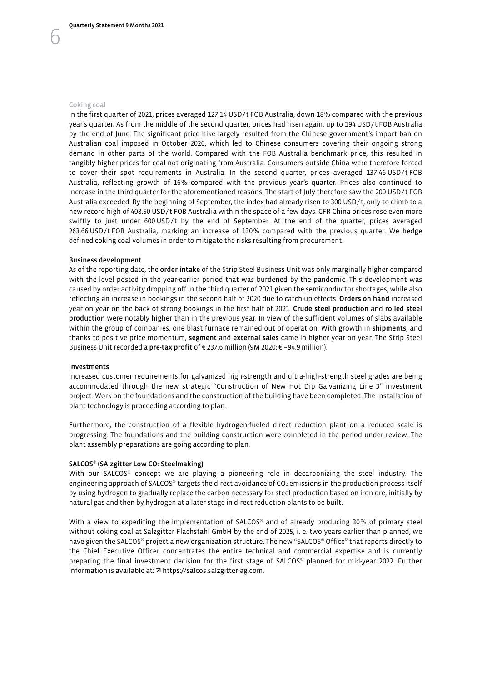In the first quarter of 2021, prices averaged 127.14 USD/t FOB Australia, down 18% compared with the previous year's quarter. As from the middle of the second quarter, prices had risen again, up to 194 USD/t FOB Australia by the end of June. The significant price hike largely resulted from the Chinese government's import ban on Australian coal imposed in October 2020, which led to Chinese consumers covering their ongoing strong demand in other parts of the world. Compared with the FOB Australia benchmark price, this resulted in tangibly higher prices for coal not originating from Australia. Consumers outside China were therefore forced to cover their spot requirements in Australia. In the second quarter, prices averaged 137.46 USD/t FOB Australia, reflecting growth of 16% compared with the previous year's quarter. Prices also continued to increase in the third quarter for the aforementioned reasons. The start of July therefore saw the 200 USD/t FOB Australia exceeded. By the beginning of September, the index had already risen to 300 USD/t, only to climb to a new record high of 408.50 USD/t FOB Australia within the space of a few days. CFR China prices rose even more swiftly to just under 600 USD/t by the end of September. At the end of the quarter, prices averaged 263.66 USD/t FOB Australia, marking an increase of 130% compared with the previous quarter. We hedge defined coking coal volumes in order to mitigate the risks resulting from procurement.

#### Business development

As of the reporting date, the order intake of the Strip Steel Business Unit was only marginally higher compared with the level posted in the year-earlier period that was burdened by the pandemic. This development was caused by order activity dropping off in the third quarter of 2021 given the semiconductor shortages, while also reflecting an increase in bookings in the second half of 2020 due to catch-up effects. Orders on hand increased year on year on the back of strong bookings in the first half of 2021. Crude steel production and rolled steel production were notably higher than in the previous year. In view of the sufficient volumes of slabs available within the group of companies, one blast furnace remained out of operation. With growth in shipments, and thanks to positive price momentum, segment and external sales came in higher year on year. The Strip Steel Business Unit recorded a pre-tax profit of € 237.6 million (9M 2020: € –94.9 million).

#### Investments

Increased customer requirements for galvanized high-strength and ultra-high-strength steel grades are being accommodated through the new strategic "Construction of New Hot Dip Galvanizing Line 3" investment project. Work on the foundations and the construction of the building have been completed. The installation of plant technology is proceeding according to plan.

Furthermore, the construction of a flexible hydrogen-fueled direct reduction plant on a reduced scale is progressing. The foundations and the building construction were completed in the period under review. The plant assembly preparations are going according to plan.

#### SALCOS® (SAlzgitter Low CO2 Steelmaking)

With our SALCOS® concept we are playing a pioneering role in decarbonizing the steel industry. The engineering approach of SALCOS® targets the direct avoidance of  $CO<sub>2</sub>$  emissions in the production process itself by using hydrogen to gradually replace the carbon necessary for steel production based on iron ore, initially by natural gas and then by hydrogen at a later stage in direct reduction plants to be built.

With a view to expediting the implementation of SALCOS® and of already producing 30% of primary steel without coking coal at Salzgitter Flachstahl GmbH by the end of 2025, i. e. two years earlier than planned, we have given the SALCOS® project a new organization structure. The new "SALCOS® Office" that reports directly to the Chief Executive Officer concentrates the entire technical and commercial expertise and is currently preparing the final investment decision for the first stage of SALCOS® planned for mid-year 2022. Further information is available at: 7 https://salcos.salzgitter-ag.com.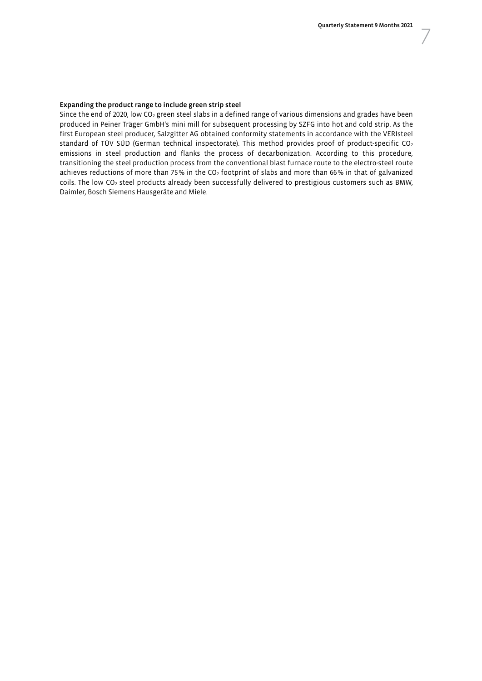#### Expanding the product range to include green strip steel

Since the end of 2020, low CO<sub>2</sub> green steel slabs in a defined range of various dimensions and grades have been produced in Peiner Träger GmbH's mini mill for subsequent processing by SZFG into hot and cold strip. As the first European steel producer, Salzgitter AG obtained conformity statements in accordance with the VERIsteel standard of TÜV SÜD (German technical inspectorate). This method provides proof of product-specific CO2 emissions in steel production and flanks the process of decarbonization. According to this procedure, transitioning the steel production process from the conventional blast furnace route to the electro-steel route achieves reductions of more than 75% in the CO<sub>2</sub> footprint of slabs and more than 66% in that of galvanized coils. The low CO2 steel products already been successfully delivered to prestigious customers such as BMW, Daimler, Bosch Siemens Hausgeräte and Miele.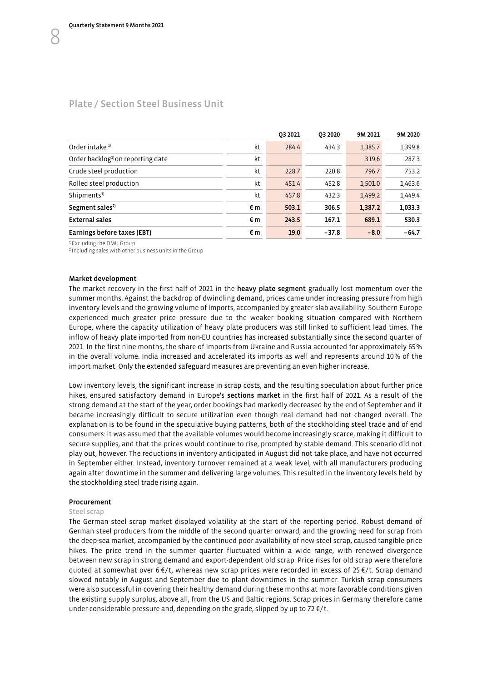## <span id="page-9-0"></span>Plate / Section Steel Business Unit

|                                              |    | 03 20 21 | 03 20 20 | 9M 2021 | 9M 2020 |
|----------------------------------------------|----|----------|----------|---------|---------|
| Order intake <sup>1)</sup>                   | kt | 284.4    | 434.3    | 1,385.7 | 1,399.8 |
| Order backlog <sup>1</sup> on reporting date | kt |          |          | 319.6   | 287.3   |
| Crude steel production                       | kt | 228.7    | 220.8    | 796.7   | 753.2   |
| Rolled steel production                      | kt | 451.4    | 452.8    | 1,501.0 | 1,463.6 |
| Shipments <sup>1)</sup>                      | kt | 457.8    | 432.3    | 1,499.2 | 1,449.4 |
| Segment sales <sup>2)</sup>                  | €m | 503.1    | 306.5    | 1,387.2 | 1,033.3 |
| <b>External sales</b>                        | €m | 243.5    | 167.1    | 689.1   | 530.3   |
| Earnings before taxes (EBT)                  | €m | 19.0     | $-37.8$  | $-8.0$  | $-64.7$ |

<sup>1)</sup> Excluding the DMU Group

2) Including sales with other business units in the Group

#### Market development

The market recovery in the first half of 2021 in the heavy plate segment gradually lost momentum over the summer months. Against the backdrop of dwindling demand, prices came under increasing pressure from high inventory levels and the growing volume of imports, accompanied by greater slab availability. Southern Europe experienced much greater price pressure due to the weaker booking situation compared with Northern Europe, where the capacity utilization of heavy plate producers was still linked to sufficient lead times. The inflow of heavy plate imported from non-EU countries has increased substantially since the second quarter of 2021. In the first nine months, the share of imports from Ukraine and Russia accounted for approximately 65% in the overall volume. India increased and accelerated its imports as well and represents around 10% of the import market. Only the extended safeguard measures are preventing an even higher increase.

Low inventory levels, the significant increase in scrap costs, and the resulting speculation about further price hikes, ensured satisfactory demand in Europe's sections market in the first half of 2021. As a result of the strong demand at the start of the year, order bookings had markedly decreased by the end of September and it became increasingly difficult to secure utilization even though real demand had not changed overall. The explanation is to be found in the speculative buying patterns, both of the stockholding steel trade and of end consumers: it was assumed that the available volumes would become increasingly scarce, making it difficult to secure supplies, and that the prices would continue to rise, prompted by stable demand. This scenario did not play out, however. The reductions in inventory anticipated in August did not take place, and have not occurred in September either. Instead, inventory turnover remained at a weak level, with all manufacturers producing again after downtime in the summer and delivering large volumes. This resulted in the inventory levels held by the stockholding steel trade rising again.

#### Procurement

#### Steel scrap

The German steel scrap market displayed volatility at the start of the reporting period. Robust demand of German steel producers from the middle of the second quarter onward, and the growing need for scrap from the deep-sea market, accompanied by the continued poor availability of new steel scrap, caused tangible price hikes. The price trend in the summer quarter fluctuated within a wide range, with renewed divergence between new scrap in strong demand and export-dependent old scrap. Price rises for old scrap were therefore quoted at somewhat over 6 €/t, whereas new scrap prices were recorded in excess of 25 €/t. Scrap demand slowed notably in August and September due to plant downtimes in the summer. Turkish scrap consumers were also successful in covering their healthy demand during these months at more favorable conditions given the existing supply surplus, above all, from the US and Baltic regions. Scrap prices in Germany therefore came under considerable pressure and, depending on the grade, slipped by up to 72 $\epsilon/t$ .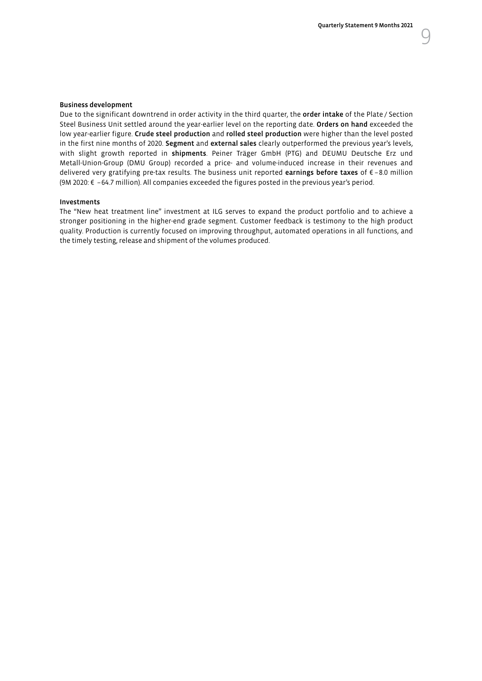#### Business development

Due to the significant downtrend in order activity in the third quarter, the order intake of the Plate / Section Steel Business Unit settled around the year-earlier level on the reporting date. Orders on hand exceeded the low year-earlier figure. Crude steel production and rolled steel production were higher than the level posted in the first nine months of 2020. Segment and external sales clearly outperformed the previous year's levels, with slight growth reported in shipments. Peiner Träger GmbH (PTG) and DEUMU Deutsche Erz und Metall-Union-Group (DMU Group) recorded a price- and volume-induced increase in their revenues and delivered very gratifying pre-tax results. The business unit reported earnings before taxes of € –8.0 million (9M 2020: € –64.7 million). All companies exceeded the figures posted in the previous year's period.

#### Investments

The "New heat treatment line" investment at ILG serves to expand the product portfolio and to achieve a stronger positioning in the higher-end grade segment. Customer feedback is testimony to the high product quality. Production is currently focused on improving throughput, automated operations in all functions, and the timely testing, release and shipment of the volumes produced.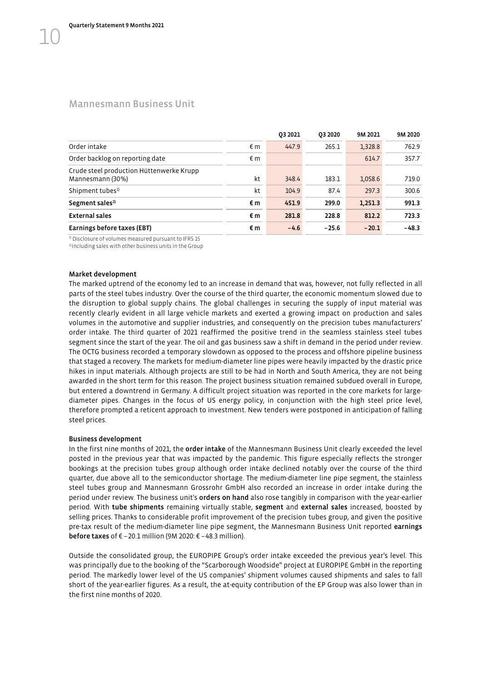### <span id="page-11-0"></span>Mannesmann Business Unit

|                                                              |    | 03 20 21 | 03 20 20 | 9M 2021 | 9M 2020 |
|--------------------------------------------------------------|----|----------|----------|---------|---------|
| Order intake                                                 | €m | 447.9    | 265.1    | 1,328.8 | 762.9   |
| Order backlog on reporting date                              | €m |          |          | 614.7   | 357.7   |
| Crude steel production Hüttenwerke Krupp<br>Mannesmann (30%) | kt | 348.4    | 183.1    | 1,058.6 | 719.0   |
| Shipment tubes <sup>1)</sup>                                 | kt | 104.9    | 87.4     | 297.3   | 300.6   |
| Segment sales <sup>2)</sup>                                  | €m | 451.9    | 299.0    | 1,251.3 | 991.3   |
| <b>External sales</b>                                        | €m | 281.8    | 228.8    | 812.2   | 723.3   |
| Earnings before taxes (EBT)                                  | €m | $-4.6$   | $-25.6$  | $-20.1$ | $-48.3$ |

 $\frac{1}{2}$  Disclosure of volumes measured pursuant to IFRS 15  $\frac{2}{10}$  Including sales with other business units in the Group

#### Market development

The marked uptrend of the economy led to an increase in demand that was, however, not fully reflected in all parts of the steel tubes industry. Over the course of the third quarter, the economic momentum slowed due to the disruption to global supply chains. The global challenges in securing the supply of input material was recently clearly evident in all large vehicle markets and exerted a growing impact on production and sales volumes in the automotive and supplier industries, and consequently on the precision tubes manufacturers' order intake. The third quarter of 2021 reaffirmed the positive trend in the seamless stainless steel tubes segment since the start of the year. The oil and gas business saw a shift in demand in the period under review. The OCTG business recorded a temporary slowdown as opposed to the process and offshore pipeline business that staged a recovery. The markets for medium-diameter line pipes were heavily impacted by the drastic price hikes in input materials. Although projects are still to be had in North and South America, they are not being awarded in the short term for this reason. The project business situation remained subdued overall in Europe, but entered a downtrend in Germany. A difficult project situation was reported in the core markets for largediameter pipes. Changes in the focus of US energy policy, in conjunction with the high steel price level, therefore prompted a reticent approach to investment. New tenders were postponed in anticipation of falling steel prices.

#### Business development

In the first nine months of 2021, the **order intake** of the Mannesmann Business Unit clearly exceeded the level posted in the previous year that was impacted by the pandemic. This figure especially reflects the stronger bookings at the precision tubes group although order intake declined notably over the course of the third quarter, due above all to the semiconductor shortage. The medium-diameter line pipe segment, the stainless steel tubes group and Mannesmann Grossrohr GmbH also recorded an increase in order intake during the period under review. The business unit's **orders on hand** also rose tangibly in comparison with the vear-earlier period. With tube shipments remaining virtually stable, segment and external sales increased, boosted by selling prices. Thanks to considerable profit improvement of the precision tubes group, and given the positive pre-tax result of the medium-diameter line pipe segment, the Mannesmann Business Unit reported earnings **before taxes** of € -20.1 million (9M 2020:  $∈$  -48.3 million).

Outside the consolidated group, the EUROPIPE Group's order intake exceeded the previous year's level. This was principally due to the booking of the "Scarborough Woodside" project at EUROPIPE GmbH in the reporting period. The markedly lower level of the US companies' shipment volumes caused shipments and sales to fall short of the year-earlier figures. As a result, the at-equity contribution of the EP Group was also lower than in the first nine months of 2020.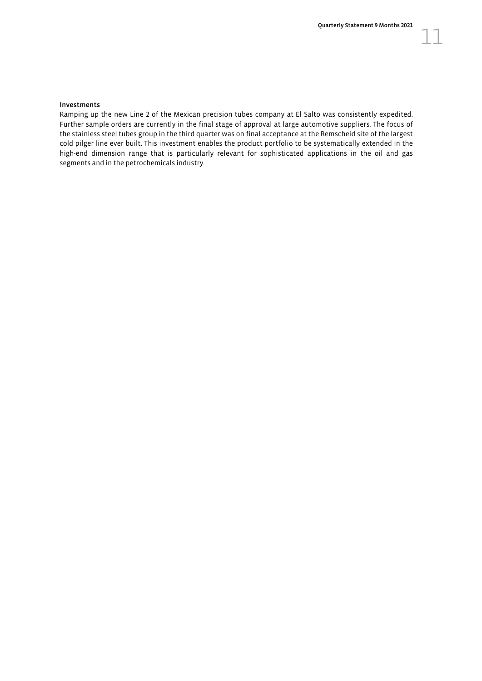#### Investments

Ramping up the new Line 2 of the Mexican precision tubes company at El Salto was consistently expedited. Further sample orders are currently in the final stage of approval at large automotive suppliers. The focus of the stainless steel tubes group in the third quarter was on final acceptance at the Remscheid site of the largest cold pilger line ever built. This investment enables the product portfolio to be systematically extended in the high-end dimension range that is particularly relevant for sophisticated applications in the oil and gas segments and in the petrochemicals industry.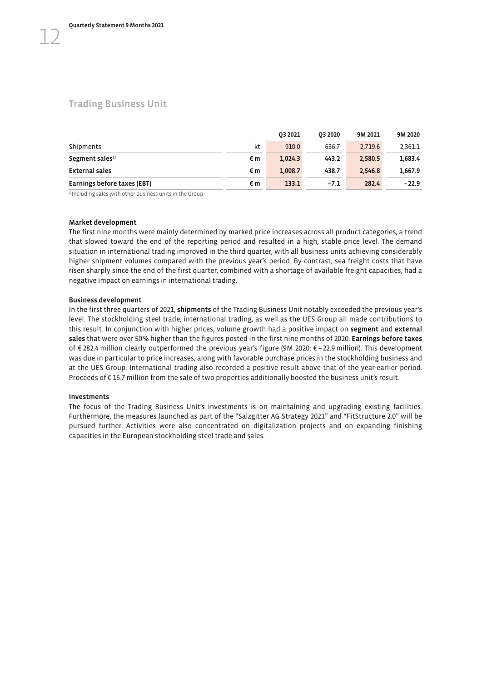### <span id="page-13-0"></span>Trading Business Unit

|                             |    | 03 2021 | 03 2020 | 9M 2021 | 9M 2020 |
|-----------------------------|----|---------|---------|---------|---------|
| Shipments                   | kt | 910.0   | 636.7   | 2.719.6 | 2.361.1 |
| Segment sales <sup>1)</sup> | €m | 1.024.3 | 443.2   | 2.580.5 | 1.683.4 |
| <b>External sales</b>       | €m | 1.008.7 | 438.7   | 2.546.8 | 1.667.9 |
| Earnings before taxes (EBT) | €m | 133.1   | $-7.1$  | 282.4   | $-22.9$ |

<sup>1)</sup> Including sales with other business units in the Group

#### Market development

The first nine months were mainly determined by marked price increases across all product categories, a trend that slowed toward the end of the reporting period and resulted in a high, stable price level. The demand situation in international trading improved in the third quarter, with all business units achieving considerably higher shipment volumes compared with the previous year's period. By contrast, sea freight costs that have risen sharply since the end of the first quarter, combined with a shortage of available freight capacities, had a negative impact on earnings in international trading.

#### Business development

In the first three quarters of 2021, shipments of the Trading Business Unit notably exceeded the previous year's level. The stockholding steel trade, international trading, as well as the UES Group all made contributions to this result. In conjunction with higher prices, volume growth had a positive impact on segment and external sales that were over 50% higher than the figures posted in the first nine months of 2020. Earnings before taxes of € 282.4 million clearly outperformed the previous year's figure (9M 2020: € –22.9 million). This development was due in particular to price increases, along with favorable purchase prices in the stockholding business and at the UES Group. International trading also recorded a positive result above that of the year-earlier period. Proceeds of € 16.7 million from the sale of two properties additionally boosted the business unit's result.

#### Investments

The focus of the Trading Business Unit's investments is on maintaining and upgrading existing facilities. Furthermore, the measures launched as part of the "Salzgitter AG Strategy 2021" and "FitStructure 2.0" will be pursued further. Activities were also concentrated on digitalization projects and on expanding finishing capacities in the European stockholding steel trade and sales.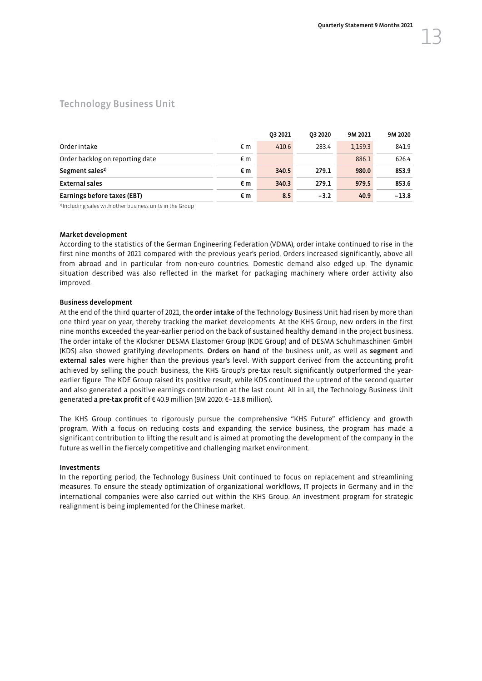### <span id="page-14-0"></span>Technology Business Unit

|                                 |    | 03 20 21 | 03 20 20 | 9M 2021 | 9M 2020 |
|---------------------------------|----|----------|----------|---------|---------|
| Order intake                    | €m | 410.6    | 283.4    | 1,159.3 | 841.9   |
| Order backlog on reporting date | €m |          |          | 886.1   | 626.4   |
| Segment sales <sup>1)</sup>     | €m | 340.5    | 279.1    | 980.0   | 853.9   |
| External sales                  | €m | 340.3    | 279.1    | 979.5   | 853.6   |
| Earnings before taxes (EBT)     | €m | 8.5      | $-3.2$   | 40.9    | $-13.8$ |

1) Including sales with other business units in the Group

#### Market development

According to the statistics of the German Engineering Federation (VDMA), order intake continued to rise in the first nine months of 2021 compared with the previous year's period. Orders increased significantly, above all from abroad and in particular from non-euro countries. Domestic demand also edged up. The dynamic situation described was also reflected in the market for packaging machinery where order activity also improved.

#### Business development

At the end of the third quarter of 2021, the order intake of the Technology Business Unit had risen by more than one third year on year, thereby tracking the market developments. At the KHS Group, new orders in the first nine months exceeded the year-earlier period on the back of sustained healthy demand in the project business. The order intake of the Klöckner DESMA Elastomer Group (KDE Group) and of DESMA Schuhmaschinen GmbH (KDS) also showed gratifying developments. Orders on hand of the business unit, as well as segment and external sales were higher than the previous year's level. With support derived from the accounting profit achieved by selling the pouch business, the KHS Group's pre-tax result significantly outperformed the yearearlier figure. The KDE Group raised its positive result, while KDS continued the uptrend of the second quarter and also generated a positive earnings contribution at the last count. All in all, the Technology Business Unit generated a pre-tax profit of € 40.9 million (9M 2020: €–13.8 million).

The KHS Group continues to rigorously pursue the comprehensive "KHS Future" efficiency and growth program. With a focus on reducing costs and expanding the service business, the program has made a significant contribution to lifting the result and is aimed at promoting the development of the company in the future as well in the fiercely competitive and challenging market environment.

#### Investments

In the reporting period, the Technology Business Unit continued to focus on replacement and streamlining measures. To ensure the steady optimization of organizational workflows, IT projects in Germany and in the international companies were also carried out within the KHS Group. An investment program for strategic realignment is being implemented for the Chinese market.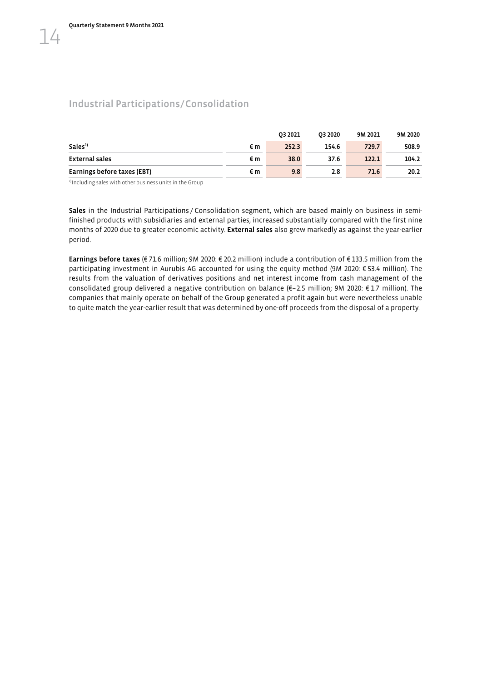<span id="page-15-0"></span> $\perp$ 

## Industrial Participations/Consolidation

|                             |    | 03 2021 | 03 20 20 | 9M 2021 | 9M 2020 |
|-----------------------------|----|---------|----------|---------|---------|
| Sales <sup>1)</sup>         | €m | 252.3   | 154.6    | 729.7   | 508.9   |
| External sales              | €m | 38.0    | 37.6     | 122.1   | 104.2   |
| Earnings before taxes (EBT) | €m | 9.8     | 2.8      | 71.6    | 20.2    |

<sup>1)</sup> Including sales with other business units in the Group

Sales in the Industrial Participations / Consolidation segment, which are based mainly on business in semifinished products with subsidiaries and external parties, increased substantially compared with the first nine months of 2020 due to greater economic activity. External sales also grew markedly as against the year-earlier period.

Earnings before taxes (€ 71.6 million; 9M 2020: € 20.2 million) include a contribution of € 133.5 million from the participating investment in Aurubis AG accounted for using the equity method (9M 2020: € 53.4 million). The results from the valuation of derivatives positions and net interest income from cash management of the consolidated group delivered a negative contribution on balance (€–2.5 million; 9M 2020: € 1.7 million). The companies that mainly operate on behalf of the Group generated a profit again but were nevertheless unable to quite match the year-earlier result that was determined by one-off proceeds from the disposal of a property.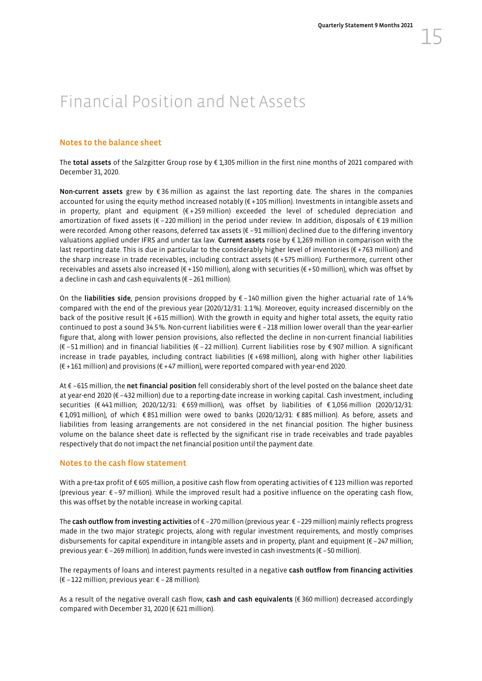## <span id="page-16-0"></span>Financial Position and Net Assets

#### Notes to the balance sheet

The total assets of the Salzgitter Group rose by € 1,305 million in the first nine months of 2021 compared with December 31, 2020.

Non-current assets grew by €36 million as against the last reporting date. The shares in the companies accounted for using the equity method increased notably (€ +105 million). Investments in intangible assets and in property, plant and equipment (€ +259 million) exceeded the level of scheduled depreciation and amortization of fixed assets ( $\epsilon$  – 220 million) in the period under review. In addition, disposals of  $\epsilon$  19 million were recorded. Among other reasons, deferred tax assets (€ –91 million) declined due to the differing inventory valuations applied under IFRS and under tax law. Current assets rose by € 1,269 million in comparison with the last reporting date. This is due in particular to the considerably higher level of inventories (€ +763 million) and the sharp increase in trade receivables, including contract assets (€ +575 million). Furthermore, current other receivables and assets also increased (€ +150 million), along with securities (€ +50 million), which was offset by a decline in cash and cash equivalents (€ –261 million).

On the liabilities side, pension provisions dropped by € –140 million given the higher actuarial rate of 1.4% compared with the end of the previous year (2020/12/31: 1.1%). Moreover, equity increased discernibly on the back of the positive result ( $\epsilon$  +615 million). With the growth in equity and higher total assets, the equity ratio continued to post a sound 34.5%. Non-current liabilities were € –218 million lower overall than the year-earlier figure that, along with lower pension provisions, also reflected the decline in non-current financial liabilities (€ –51 million) and in financial liabilities (€ –22 million). Current liabilities rose by € 907 million. A significant increase in trade payables, including contract liabilities (€ +698 million), along with higher other liabilities (€ +161 million) and provisions (€ +47 million), were reported compared with year-end 2020.

At € –615 million, the net financial position fell considerably short of the level posted on the balance sheet date at year-end 2020 (€ –432 million) due to a reporting-date increase in working capital. Cash investment, including securities (€ 441 million; 2020/12/31: € 659 million), was offset by liabilities of € 1,056 million (2020/12/31: € 1,091 million), of which € 851 million were owed to banks (2020/12/31: € 885 million). As before, assets and liabilities from leasing arrangements are not considered in the net financial position. The higher business volume on the balance sheet date is reflected by the significant rise in trade receivables and trade payables respectively that do not impact the net financial position until the payment date.

#### Notes to the cash flow statement

With a pre-tax profit of € 605 million, a positive cash flow from operating activities of € 123 million was reported (previous year: € –97 million). While the improved result had a positive influence on the operating cash flow, this was offset by the notable increase in working capital.

The cash outflow from investing activities of € -270 million (previous year: € -229 million) mainly reflects progress made in the two major strategic projects, along with regular investment requirements, and mostly comprises disbursements for capital expenditure in intangible assets and in property, plant and equipment (€ –247 million; previous year: € –269 million). In addition, funds were invested in cash investments (€ –50 million).

The repayments of loans and interest payments resulted in a negative cash outflow from financing activities (€ –122 million; previous year: € –28 million).

As a result of the negative overall cash flow, cash and cash equivalents ( $\epsilon$  360 million) decreased accordingly compared with December 31, 2020 (€ 621 million).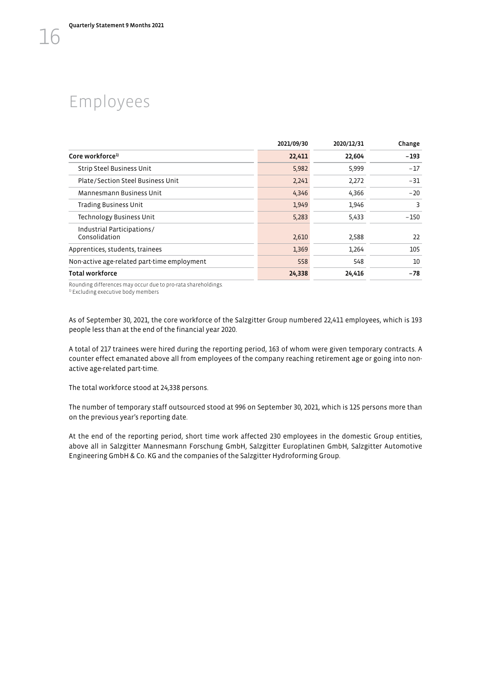## <span id="page-17-0"></span>Employees

|                                             | 2021/09/30 | 2020/12/31 | Change |
|---------------------------------------------|------------|------------|--------|
| Core workforce <sup>1)</sup>                | 22,411     | 22,604     | $-193$ |
| Strip Steel Business Unit                   | 5,982      | 5,999      | $-17$  |
| Plate/Section Steel Business Unit           | 2,241      | 2,272      | $-31$  |
| Mannesmann Business Unit                    | 4,346      | 4,366      | $-20$  |
| <b>Trading Business Unit</b>                | 1,949      | 1,946      | 3      |
| Technology Business Unit                    | 5,283      | 5,433      | $-150$ |
| Industrial Participations/<br>Consolidation | 2,610      | 2,588      | 22     |
| Apprentices, students, trainees             | 1,369      | 1,264      | 105    |
| Non-active age-related part-time employment | 558        | 548        | 10     |
| Total workforce                             | 24,338     | 24,416     | $-78$  |

Rounding differences may occur due to pro-rata shareholdings.<br> $^{11}$  Excluding executive body members

As of September 30, 2021, the core workforce of the Salzgitter Group numbered 22,411 employees, which is 193 people less than at the end of the financial year 2020.

A total of 217 trainees were hired during the reporting period, 163 of whom were given temporary contracts. A counter effect emanated above all from employees of the company reaching retirement age or going into nonactive age-related part-time.

The total workforce stood at 24,338 persons.

The number of temporary staff outsourced stood at 996 on September 30, 2021, which is 125 persons more than on the previous year's reporting date.

At the end of the reporting period, short time work affected 230 employees in the domestic Group entities, above all in Salzgitter Mannesmann Forschung GmbH, Salzgitter Europlatinen GmbH, Salzgitter Automotive Engineering GmbH & Co. KG and the companies of the Salzgitter Hydroforming Group.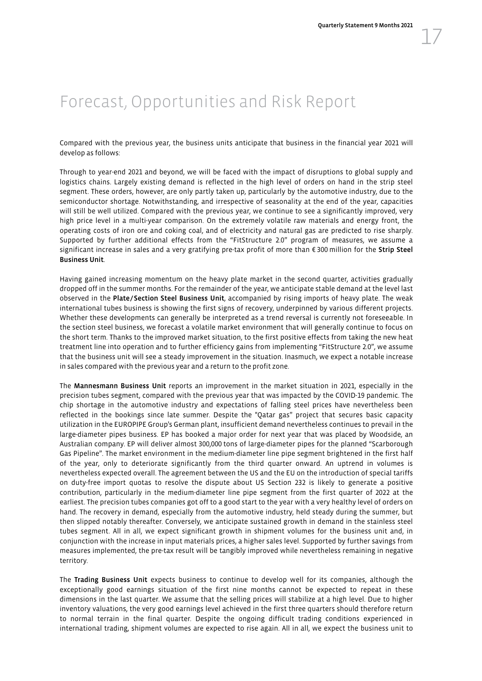## <span id="page-18-0"></span>Forecast, Opportunities and Risk Report

Compared with the previous year, the business units anticipate that business in the financial year 2021 will develop as follows:

Through to year-end 2021 and beyond, we will be faced with the impact of disruptions to global supply and logistics chains. Largely existing demand is reflected in the high level of orders on hand in the strip steel segment. These orders, however, are only partly taken up, particularly by the automotive industry, due to the semiconductor shortage. Notwithstanding, and irrespective of seasonality at the end of the year, capacities will still be well utilized. Compared with the previous year, we continue to see a significantly improved, very high price level in a multi-year comparison. On the extremely volatile raw materials and energy front, the operating costs of iron ore and coking coal, and of electricity and natural gas are predicted to rise sharply. Supported by further additional effects from the "FitStructure 2.0" program of measures, we assume a significant increase in sales and a very gratifying pre-tax profit of more than €300 million for the Strip Steel Business Unit.

Having gained increasing momentum on the heavy plate market in the second quarter, activities gradually dropped off in the summer months. For the remainder of the year, we anticipate stable demand at the level last observed in the Plate/Section Steel Business Unit, accompanied by rising imports of heavy plate. The weak international tubes business is showing the first signs of recovery, underpinned by various different projects. Whether these developments can generally be interpreted as a trend reversal is currently not foreseeable. In the section steel business, we forecast a volatile market environment that will generally continue to focus on the short term. Thanks to the improved market situation, to the first positive effects from taking the new heat treatment line into operation and to further efficiency gains from implementing "FitStructure 2.0", we assume that the business unit will see a steady improvement in the situation. Inasmuch, we expect a notable increase in sales compared with the previous year and a return to the profit zone.

The Mannesmann Business Unit reports an improvement in the market situation in 2021, especially in the precision tubes segment, compared with the previous year that was impacted by the COVID-19 pandemic. The chip shortage in the automotive industry and expectations of falling steel prices have nevertheless been reflected in the bookings since late summer. Despite the "Qatar gas" project that secures basic capacity utilization in the EUROPIPE Group's German plant, insufficient demand nevertheless continues to prevail in the large-diameter pipes business. EP has booked a major order for next year that was placed by Woodside, an Australian company. EP will deliver almost 300,000 tons of large-diameter pipes for the planned "Scarborough Gas Pipeline". The market environment in the medium-diameter line pipe segment brightened in the first half of the year, only to deteriorate significantly from the third quarter onward. An uptrend in volumes is nevertheless expected overall. The agreement between the US and the EU on the introduction of special tariffs on duty-free import quotas to resolve the dispute about US Section 232 is likely to generate a positive contribution, particularly in the medium-diameter line pipe segment from the first quarter of 2022 at the earliest. The precision tubes companies got off to a good start to the year with a very healthy level of orders on hand. The recovery in demand, especially from the automotive industry, held steady during the summer, but then slipped notably thereafter. Conversely, we anticipate sustained growth in demand in the stainless steel tubes segment. All in all, we expect significant growth in shipment volumes for the business unit and, in conjunction with the increase in input materials prices, a higher sales level. Supported by further savings from measures implemented, the pre-tax result will be tangibly improved while nevertheless remaining in negative territory.

The Trading Business Unit expects business to continue to develop well for its companies, although the exceptionally good earnings situation of the first nine months cannot be expected to repeat in these dimensions in the last quarter. We assume that the selling prices will stabilize at a high level. Due to higher inventory valuations, the very good earnings level achieved in the first three quarters should therefore return to normal terrain in the final quarter. Despite the ongoing difficult trading conditions experienced in international trading, shipment volumes are expected to rise again. All in all, we expect the business unit to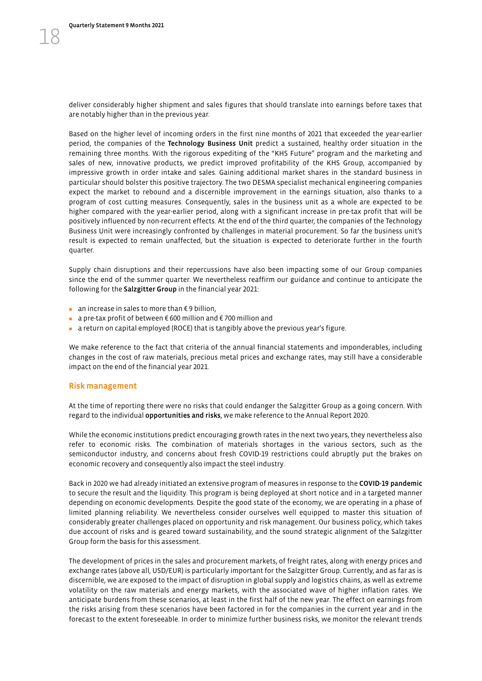deliver considerably higher shipment and sales figures that should translate into earnings before taxes that are notably higher than in the previous year.

Based on the higher level of incoming orders in the first nine months of 2021 that exceeded the year-earlier period, the companies of the Technology Business Unit predict a sustained, healthy order situation in the remaining three months. With the rigorous expediting of the "KHS Future" program and the marketing and sales of new, innovative products, we predict improved profitability of the KHS Group, accompanied by impressive growth in order intake and sales. Gaining additional market shares in the standard business in particular should bolster this positive trajectory. The two DESMA specialist mechanical engineering companies expect the market to rebound and a discernible improvement in the earnings situation, also thanks to a program of cost cutting measures. Consequently, sales in the business unit as a whole are expected to be higher compared with the year-earlier period, along with a significant increase in pre-tax profit that will be positively influenced by non-recurrent effects. At the end of the third quarter, the companies of the Technology Business Unit were increasingly confronted by challenges in material procurement. So far the business unit's result is expected to remain unaffected, but the situation is expected to deteriorate further in the fourth quarter.

Supply chain disruptions and their repercussions have also been impacting some of our Group companies since the end of the summer quarter. We nevertheless reaffirm our guidance and continue to anticipate the following for the Salzgitter Group in the financial year 2021:

- an increase in sales to more than €9 billion,
- a pre-tax profit of between € 600 million and € 700 million and
- a return on capital employed (ROCE) that is tangibly above the previous year's figure.

We make reference to the fact that criteria of the annual financial statements and imponderables, including changes in the cost of raw materials, precious metal prices and exchange rates, may still have a considerable impact on the end of the financial year 2021.

#### Risk management

At the time of reporting there were no risks that could endanger the Salzgitter Group as a going concern. With regard to the individual opportunities and risks, we make reference to the Annual Report 2020.

While the economic institutions predict encouraging growth rates in the next two years, they nevertheless also refer to economic risks. The combination of materials shortages in the various sectors, such as the semiconductor industry, and concerns about fresh COVID-19 restrictions could abruptly put the brakes on economic recovery and consequently also impact the steel industry.

Back in 2020 we had already initiated an extensive program of measures in response to the COVID-19 pandemic to secure the result and the liquidity. This program is being deployed at short notice and in a targeted manner depending on economic developments. Despite the good state of the economy, we are operating in a phase of limited planning reliability. We nevertheless consider ourselves well equipped to master this situation of considerably greater challenges placed on opportunity and risk management. Our business policy, which takes due account of risks and is geared toward sustainability, and the sound strategic alignment of the Salzgitter Group form the basis for this assessment.

The development of prices in the sales and procurement markets, of freight rates, along with energy prices and exchange rates (above all, USD/EUR) is particularly important for the Salzgitter Group. Currently, and as far as is discernible, we are exposed to the impact of disruption in global supply and logistics chains, as well as extreme volatility on the raw materials and energy markets, with the associated wave of higher inflation rates. We anticipate burdens from these scenarios, at least in the first half of the new year. The effect on earnings from the risks arising from these scenarios have been factored in for the companies in the current year and in the forecast to the extent foreseeable. In order to minimize further business risks, we monitor the relevant trends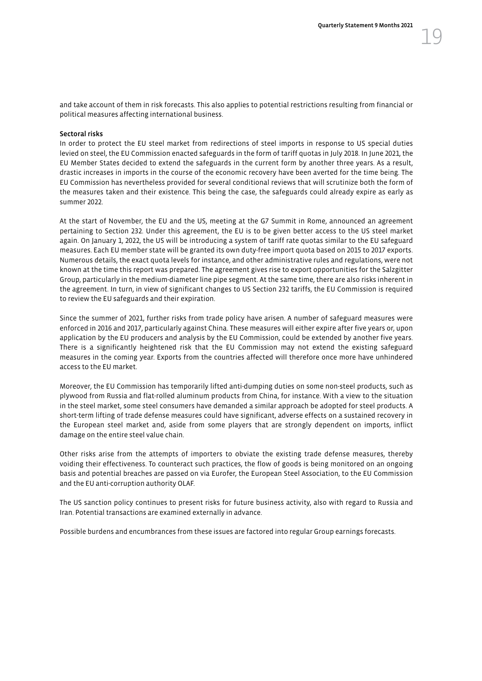and take account of them in risk forecasts. This also applies to potential restrictions resulting from financial or political measures affecting international business.

#### Sectoral risks

In order to protect the EU steel market from redirections of steel imports in response to US special duties levied on steel, the EU Commission enacted safeguards in the form of tariff quotas in July 2018. In June 2021, the EU Member States decided to extend the safeguards in the current form by another three years. As a result, drastic increases in imports in the course of the economic recovery have been averted for the time being. The EU Commission has nevertheless provided for several conditional reviews that will scrutinize both the form of the measures taken and their existence. This being the case, the safeguards could already expire as early as summer 2022.

At the start of November, the EU and the US, meeting at the G7 Summit in Rome, announced an agreement pertaining to Section 232. Under this agreement, the EU is to be given better access to the US steel market again. On January 1, 2022, the US will be introducing a system of tariff rate quotas similar to the EU safeguard measures. Each EU member state will be granted its own duty-free import quota based on 2015 to 2017 exports. Numerous details, the exact quota levels for instance, and other administrative rules and regulations, were not known at the time this report was prepared. The agreement gives rise to export opportunities for the Salzgitter Group, particularly in the medium-diameter line pipe segment. At the same time, there are also risks inherent in the agreement. In turn, in view of significant changes to US Section 232 tariffs, the EU Commission is required to review the EU safeguards and their expiration.

Since the summer of 2021, further risks from trade policy have arisen. A number of safeguard measures were enforced in 2016 and 2017, particularly against China. These measures will either expire after five years or, upon application by the EU producers and analysis by the EU Commission, could be extended by another five years. There is a significantly heightened risk that the EU Commission may not extend the existing safeguard measures in the coming year. Exports from the countries affected will therefore once more have unhindered access to the EU market.

Moreover, the EU Commission has temporarily lifted anti-dumping duties on some non-steel products, such as plywood from Russia and flat-rolled aluminum products from China, for instance. With a view to the situation in the steel market, some steel consumers have demanded a similar approach be adopted for steel products. A short-term lifting of trade defense measures could have significant, adverse effects on a sustained recovery in the European steel market and, aside from some players that are strongly dependent on imports, inflict damage on the entire steel value chain.

Other risks arise from the attempts of importers to obviate the existing trade defense measures, thereby voiding their effectiveness. To counteract such practices, the flow of goods is being monitored on an ongoing basis and potential breaches are passed on via Eurofer, the European Steel Association, to the EU Commission and the EU anti-corruption authority OLAF.

The US sanction policy continues to present risks for future business activity, also with regard to Russia and Iran. Potential transactions are examined externally in advance.

Possible burdens and encumbrances from these issues are factored into regular Group earnings forecasts.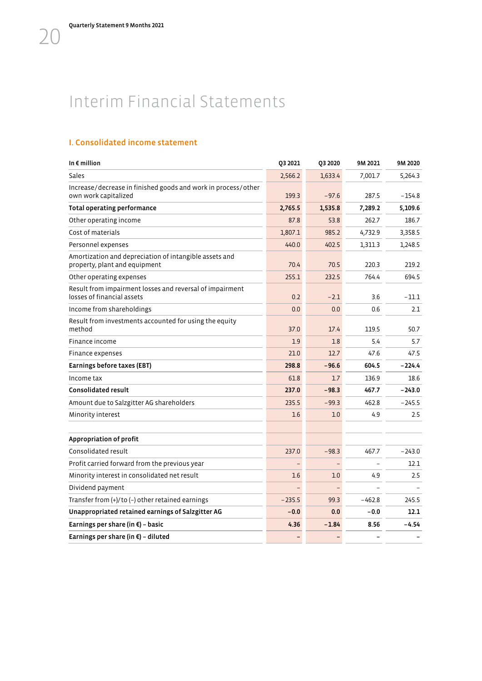## <span id="page-21-0"></span>Interim Financial Statements

## I. Consolidated income statement

| In $\epsilon$ million                                                                   | Q3 2021  | Q3 2020 | 9M 2021  | 9M 2020  |
|-----------------------------------------------------------------------------------------|----------|---------|----------|----------|
| Sales                                                                                   | 2,566.2  | 1,633.4 | 7,001.7  | 5,264.3  |
| Increase/decrease in finished goods and work in process/other<br>own work capitalized   | 199.3    | $-97.6$ | 287.5    | $-154.8$ |
| <b>Total operating performance</b>                                                      | 2,765.5  | 1,535.8 | 7,289.2  | 5,109.6  |
| Other operating income                                                                  | 87.8     | 53.8    | 262.7    | 186.7    |
| Cost of materials                                                                       | 1,807.1  | 985.2   | 4,732.9  | 3,358.5  |
| Personnel expenses                                                                      | 440.0    | 402.5   | 1,311.3  | 1,248.5  |
| Amortization and depreciation of intangible assets and<br>property, plant and equipment | 70.4     | 70.5    | 220.3    | 219.2    |
| Other operating expenses                                                                | 255.1    | 232.5   | 764.4    | 694.5    |
| Result from impairment losses and reversal of impairment<br>losses of financial assets  | 0.2      | $-2.1$  | 3.6      | $-11.1$  |
| Income from shareholdings                                                               | 0.0      | 0.0     | 0.6      | 2.1      |
| Result from investments accounted for using the equity<br>method                        | 37.0     | 17.4    | 119.5    | 50.7     |
| Finance income                                                                          | 1.9      | 1.8     | 5.4      | 5.7      |
| Finance expenses                                                                        | 21.0     | 12.7    | 47.6     | 47.5     |
| Earnings before taxes (EBT)                                                             | 298.8    | $-96.6$ | 604.5    | $-224.4$ |
| Income tax                                                                              | 61.8     | 1.7     | 136.9    | 18.6     |
| <b>Consolidated result</b>                                                              | 237.0    | $-98.3$ | 467.7    | $-243.0$ |
| Amount due to Salzgitter AG shareholders                                                | 235.5    | $-99.3$ | 462.8    | $-245.5$ |
| Minority interest                                                                       | 1.6      | 1.0     | 4.9      | 2.5      |
|                                                                                         |          |         |          |          |
| Appropriation of profit                                                                 |          |         |          |          |
| Consolidated result                                                                     | 237.0    | $-98.3$ | 467.7    | $-243.0$ |
| Profit carried forward from the previous year                                           |          |         |          | 12.1     |
| Minority interest in consolidated net result                                            | 1.6      | 1.0     | 4.9      | 2.5      |
| Dividend payment                                                                        |          |         |          |          |
| Transfer from $(+)/$ to $(-)$ other retained earnings                                   | $-235.5$ | 99.3    | $-462.8$ | 245.5    |
| Unappropriated retained earnings of Salzgitter AG                                       | $-0.0$   | 0.0     | $-0.0$   | 12.1     |
| Earnings per share (in $\xi$ ) - basic                                                  | 4.36     | $-1.84$ | 8.56     | $-4.54$  |
| Earnings per share (in $\xi$ ) - diluted                                                |          |         |          |          |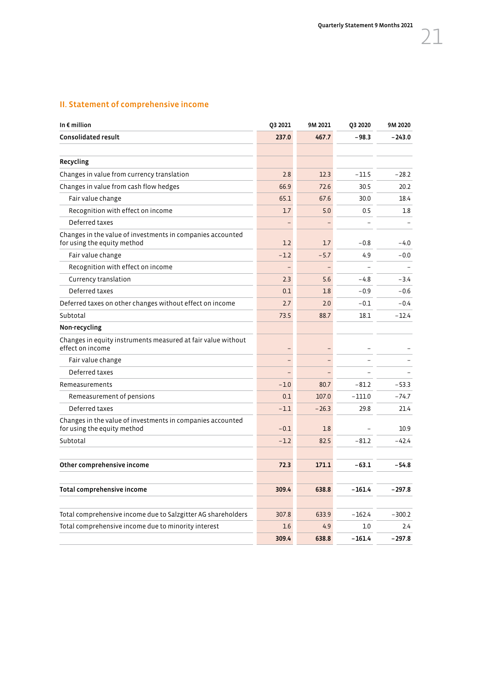## II. Statement of comprehensive income

| In $\epsilon$ million                                                                     | Q3 2021 | 9M 2021 | Q3 2020  | 9M 2020  |
|-------------------------------------------------------------------------------------------|---------|---------|----------|----------|
| <b>Consolidated result</b>                                                                | 237.0   | 467.7   | $-98.3$  | $-243.0$ |
|                                                                                           |         |         |          |          |
| Recycling                                                                                 |         |         |          |          |
| Changes in value from currency translation                                                | 2.8     | 12.3    | $-11.5$  | $-28.2$  |
| Changes in value from cash flow hedges                                                    | 66.9    | 72.6    | 30.5     | 20.2     |
| Fair value change                                                                         | 65.1    | 67.6    | 30.0     | 18.4     |
| Recognition with effect on income                                                         | 1.7     | 5.0     | 0.5      | 1.8      |
| Deferred taxes                                                                            |         |         |          |          |
| Changes in the value of investments in companies accounted<br>for using the equity method | 1.2     | 1.7     | $-0.8$   | $-4.0$   |
| Fair value change                                                                         | $-1.2$  | $-5.7$  | 4.9      | $-0.0$   |
| Recognition with effect on income                                                         | ۳       |         |          |          |
| Currency translation                                                                      | 2.3     | 5.6     | $-4.8$   | $-3.4$   |
| Deferred taxes                                                                            | 0.1     | 1.8     | $-0.9$   | $-0.6$   |
| Deferred taxes on other changes without effect on income                                  | 2.7     | 2.0     | $-0.1$   | $-0.4$   |
| Subtotal                                                                                  | 73.5    | 88.7    | 18.1     | $-12.4$  |
| Non-recycling                                                                             |         |         |          |          |
| Changes in equity instruments measured at fair value without<br>effect on income          |         |         |          |          |
| Fair value change                                                                         |         |         |          |          |
| Deferred taxes                                                                            |         |         |          |          |
| Remeasurements                                                                            | $-1.0$  | 80.7    | $-81.2$  | $-53.3$  |
| Remeasurement of pensions                                                                 | 0.1     | 107.0   | $-111.0$ | $-74.7$  |
| Deferred taxes                                                                            | $-1.1$  | $-26.3$ | 29.8     | 21.4     |
| Changes in the value of investments in companies accounted<br>for using the equity method | $-0.1$  | 1.8     |          | 10.9     |
| Subtotal                                                                                  | $-1.2$  | 82.5    | $-81.2$  | $-42.4$  |
|                                                                                           |         |         |          |          |
| Other comprehensive income                                                                | 72.3    | 171.1   | $-63.1$  | $-54.8$  |
|                                                                                           |         |         |          |          |
| Total comprehensive income                                                                | 309.4   | 638.8   | $-161.4$ | $-297.8$ |
|                                                                                           |         |         |          |          |
| Total comprehensive income due to Salzgitter AG shareholders                              | 307.8   | 633.9   | $-162.4$ | $-300.2$ |
| Total comprehensive income due to minority interest                                       | 1.6     | 4.9     | 1.0      | 2.4      |
|                                                                                           | 309.4   | 638.8   | $-161.4$ | $-297.8$ |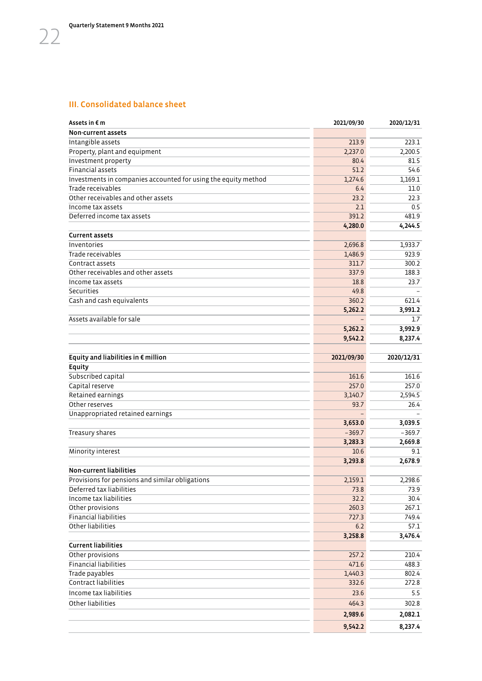## III. Consolidated balance sheet

| Assets in € m                                                  | 2021/09/30 | 2020/12/31 |
|----------------------------------------------------------------|------------|------------|
| Non-current assets                                             |            |            |
| Intangible assets                                              | 213.9      | 223.1      |
| Property, plant and equipment                                  | 2,237.0    | 2,200.5    |
| Investment property                                            | 80.4       | 81.5       |
| Financial assets                                               | 51.2       | 54.6       |
| Investments in companies accounted for using the equity method | 1,274.6    | 1,169.1    |
| Trade receivables                                              | 6.4        | 11.0       |
| Other receivables and other assets                             | 23.2       | 22.3       |
| Income tax assets                                              | 2.1        | 0.5        |
| Deferred income tax assets                                     | 391.2      | 481.9      |
|                                                                | 4,280.0    | 4,244.5    |
| <b>Current assets</b>                                          |            |            |
| Inventories                                                    | 2,696.8    | 1,933.7    |
| Trade receivables                                              | 1,486.9    | 923.9      |
| Contract assets                                                | 311.7      | 300.2      |
| Other receivables and other assets                             | 337.9      | 188.3      |
| Income tax assets                                              | 18.8       | 23.7       |
| Securities                                                     | 49.8       |            |
| Cash and cash equivalents                                      | 360.2      | 621.4      |
|                                                                | 5,262.2    | 3,991.2    |
| Assets available for sale                                      |            |            |
|                                                                |            | 1.7        |
|                                                                | 5,262.2    | 3,992.9    |
|                                                                | 9,542.2    | 8,237.4    |
| Equity and liabilities in $\epsilon$ million                   | 2021/09/30 | 2020/12/31 |
| Equity                                                         |            |            |
| Subscribed capital                                             | 161.6      | 161.6      |
| Capital reserve                                                | 257.0      | 257.0      |
| Retained earnings                                              | 3,140.7    | 2,594.5    |
| Other reserves                                                 | 93.7       | 26.4       |
| Unappropriated retained earnings                               |            |            |
|                                                                | 3,653.0    | 3,039.5    |
| Treasury shares                                                | $-369.7$   | $-369.7$   |
|                                                                | 3,283.3    | 2,669.8    |
| Minority interest                                              | 10.6       | 9.1        |
|                                                                | 3,293.8    | 2,678.9    |
| <b>Non-current liabilities</b>                                 |            |            |
| Provisions for pensions and similar obligations                | 2,159.1    | 2,298.6    |
| Deferred tax liabilities                                       | 73.8       | 73.9       |
| Income tax liabilities                                         | 32.2       | 30.4       |
| Other provisions                                               | 260.3      | 267.1      |
| <b>Financial liabilities</b>                                   | 727.3      | 749.4      |
| Other liabilities                                              |            |            |
|                                                                | $6.2$      | 57.1       |
| <b>Current liabilities</b>                                     | 3,258.8    | 3,476.4    |
| Other provisions                                               | 257.2      | 210.4      |
| Financial liabilities                                          | 471.6      | 488.3      |
| Trade payables                                                 | 1,440.3    | 802.4      |
| Contract liabilities                                           |            |            |
|                                                                | 332.6      | 272.8      |
| Income tax liabilities                                         | 23.6       | 5.5        |
| Other liabilities                                              | 464.3      | 302.8      |
|                                                                | 2,989.6    | 2,082.1    |
|                                                                | 9,542.2    | 8,237.4    |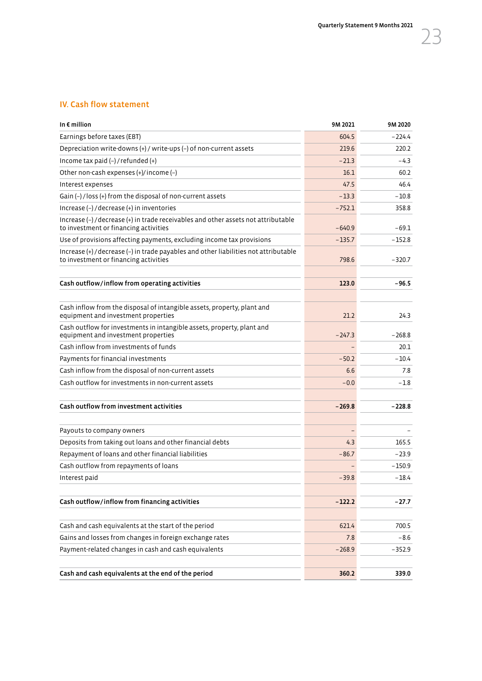## IV. Cash flow statement

| In $\epsilon$ million                                                                                                         | 9M 2021  | 9M 2020  |
|-------------------------------------------------------------------------------------------------------------------------------|----------|----------|
| Earnings before taxes (EBT)                                                                                                   | 604.5    | $-224.4$ |
| Depreciation write-downs (+) / write-ups (-) of non-current assets                                                            | 219.6    | 220.2    |
| Income tax paid $(-)$ / refunded $(+)$                                                                                        | $-21.3$  | $-4.3$   |
| Other non-cash expenses (+)/income (-)                                                                                        | 16.1     | 60.2     |
| Interest expenses                                                                                                             | 47.5     | 46.4     |
| Gain (-) / loss (+) from the disposal of non-current assets                                                                   | $-13.3$  | $-10.8$  |
| Increase (-) / decrease (+) in inventories                                                                                    | $-752.1$ | 358.8    |
| Increase (-) / decrease (+) in trade receivables and other assets not attributable<br>to investment or financing activities   | $-640.9$ | $-69.1$  |
| Use of provisions affecting payments, excluding income tax provisions                                                         | $-135.7$ | $-152.8$ |
| Increase (+) / decrease (-) in trade payables and other liabilities not attributable<br>to investment or financing activities | 798.6    | $-320.7$ |
| Cash outflow/inflow from operating activities                                                                                 | 123.0    | $-96.5$  |
|                                                                                                                               |          |          |
| Cash inflow from the disposal of intangible assets, property, plant and<br>equipment and investment properties                | 21.2     | 24.3     |
| Cash outflow for investments in intangible assets, property, plant and<br>equipment and investment properties                 | $-247.3$ | $-268.8$ |
| Cash inflow from investments of funds                                                                                         |          | 20.1     |
| Payments for financial investments                                                                                            | $-50.2$  | $-10.4$  |
| Cash inflow from the disposal of non-current assets                                                                           | 6.6      | 7.8      |
| Cash outflow for investments in non-current assets                                                                            | $-0.0$   | $-1.8$   |
| Cash outflow from investment activities                                                                                       | $-269.8$ | $-228.8$ |
| Payouts to company owners                                                                                                     |          |          |
| Deposits from taking out loans and other financial debts                                                                      | 4.3      | 165.5    |
| Repayment of loans and other financial liabilities                                                                            | $-86.7$  | $-23.9$  |
| Cash outflow from repayments of loans                                                                                         |          | $-150.9$ |
| Interest paid                                                                                                                 | $-39.8$  | $-18.4$  |
| Cash outflow/inflow from financing activities                                                                                 | $-122.2$ | $-27.7$  |
| Cash and cash equivalents at the start of the period                                                                          | 621.4    | 700.5    |
| Gains and losses from changes in foreign exchange rates                                                                       | 7.8      | $-8.6$   |
| Payment-related changes in cash and cash equivalents                                                                          | $-268.9$ | $-352.9$ |
| Cash and cash equivalents at the end of the period                                                                            | 360.2    | 339.0    |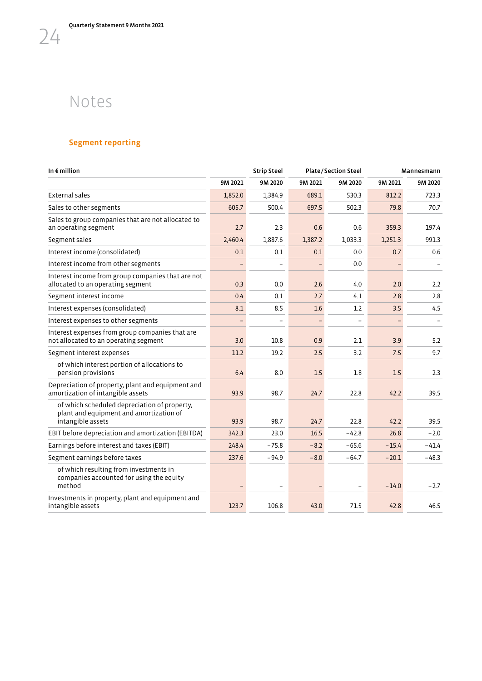## Notes

<span id="page-25-0"></span>24

## Segment reporting

| In $\epsilon$ million                                                                                        |         | <b>Strip Steel</b>       | <b>Plate/Section Steel</b> |                          | Mannesmann |                   |
|--------------------------------------------------------------------------------------------------------------|---------|--------------------------|----------------------------|--------------------------|------------|-------------------|
|                                                                                                              | 9M 2021 | 9M 2020                  | 9M 2021                    | 9M 2020                  | 9M 2021    | 9M 2020           |
| <b>External sales</b>                                                                                        | 1,852.0 | 1,384.9                  | 689.1                      | 530.3                    | 812.2      | 723.3             |
| Sales to other segments                                                                                      | 605.7   | 500.4                    | 697.5                      | 502.3                    | 79.8       | 70.7              |
| Sales to group companies that are not allocated to<br>an operating segment                                   | 2.7     | 2.3                      | 0.6                        | 0.6                      | 359.3      | 197.4             |
| Segment sales                                                                                                | 2,460.4 | 1,887.6                  | 1,387.2                    | 1,033.3                  | 1,251.3    | 991.3             |
| Interest income (consolidated)                                                                               | 0.1     | 0.1                      | 0.1                        | 0.0                      | 0.7        | 0.6               |
| Interest income from other segments                                                                          |         |                          |                            | 0.0                      |            |                   |
| Interest income from group companies that are not<br>allocated to an operating segment                       | 0.3     | 0.0                      | 2.6                        | 4.0                      | 2.0        | 2.2               |
| Segment interest income                                                                                      | 0.4     | 0.1                      | 2.7                        | 4.1                      | 2.8        | 2.8               |
| Interest expenses (consolidated)                                                                             | 8.1     | 8.5                      | 1.6                        | 1.2                      | 3.5        | 4.5               |
| Interest expenses to other segments                                                                          |         | $\overline{\phantom{m}}$ |                            | $\overline{\phantom{0}}$ |            | $\qquad \qquad -$ |
| Interest expenses from group companies that are<br>not allocated to an operating segment                     | 3.0     | 10.8                     | 0.9                        | 2.1                      | 3.9        | 5.2               |
| Segment interest expenses                                                                                    | 11.2    | 19.2                     | 2.5                        | 3.2                      | 7.5        | 9.7               |
| of which interest portion of allocations to<br>pension provisions                                            | 6.4     | 8.0                      | 1.5                        | 1.8                      | 1.5        | 2.3               |
| Depreciation of property, plant and equipment and<br>amortization of intangible assets                       | 93.9    | 98.7                     | 24.7                       | 22.8                     | 42.2       | 39.5              |
| of which scheduled depreciation of property,<br>plant and equipment and amortization of<br>intangible assets | 93.9    | 98.7                     | 24.7                       | 22.8                     | 42.2       | 39.5              |
| EBIT before depreciation and amortization (EBITDA)                                                           | 342.3   | 23.0                     | 16.5                       | $-42.8$                  | 26.8       | $-2.0$            |
| Earnings before interest and taxes (EBIT)                                                                    | 248.4   | $-75.8$                  | $-8.2$                     | $-65.6$                  | $-15.4$    | $-41.4$           |
| Segment earnings before taxes                                                                                | 237.6   | $-94.9$                  | $-8.0$                     | $-64.7$                  | $-20.1$    | $-48.3$           |
| of which resulting from investments in<br>companies accounted for using the equity<br>method                 |         |                          |                            |                          | $-14.0$    | $-2.7$            |
| Investments in property, plant and equipment and<br>intangible assets                                        | 123.7   | 106.8                    | 43.0                       | 71.5                     | 42.8       | 46.5              |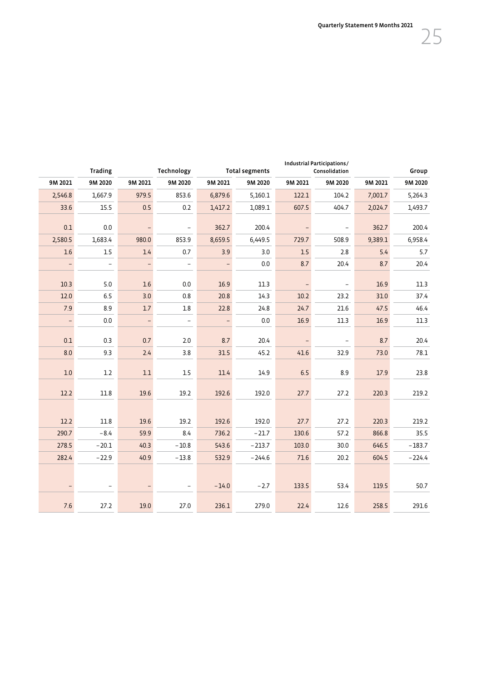Quarterly Statement 9 Months 2021

| $\sim$ |
|--------|
|        |

|                          | <b>Trading</b>           |                          | Industrial Participations/<br>Technology<br><b>Total segments</b><br>Consolidation |                          |          |         | Group                    |         |          |
|--------------------------|--------------------------|--------------------------|------------------------------------------------------------------------------------|--------------------------|----------|---------|--------------------------|---------|----------|
| 9M 2021                  | 9M 2020                  | 9M 2021                  | 9M 2020                                                                            | 9M 2021                  | 9M 2020  | 9M 2021 | 9M 2020                  | 9M 2021 | 9M 2020  |
| 2,546.8                  | 1,667.9                  | 979.5                    | 853.6                                                                              | 6,879.6                  | 5,160.1  | 122.1   | 104.2                    | 7,001.7 | 5,264.3  |
| 33.6                     | 15.5                     | 0.5                      | 0.2                                                                                | 1,417.2                  | 1,089.1  | 607.5   | 404.7                    | 2,024.7 | 1,493.7  |
| 0.1                      | $0.0\,$                  | $\overline{\phantom{0}}$ | $\overline{\phantom{0}}$                                                           | 362.7                    | 200.4    |         | $\qquad \qquad -$        | 362.7   | 200.4    |
| 2,580.5                  | 1,683.4                  | 980.0                    | 853.9                                                                              | 8,659.5                  | 6,449.5  | 729.7   | 508.9                    | 9,389.1 | 6,958.4  |
| 1.6                      | $1.5\,$                  | 1.4                      | 0.7                                                                                | 3.9                      | 3.0      | $1.5\,$ | 2.8                      | 5.4     | $5.7\,$  |
| $\overline{\phantom{0}}$ | $\overline{a}$           | $\qquad \qquad -$        | $\overline{\phantom{0}}$                                                           | $\qquad \qquad -$        | 0.0      | 8.7     | 20.4                     | 8.7     | 20.4     |
| 10.3                     | $5.0$                    | 1.6                      | 0.0                                                                                | 16.9                     | 11.3     |         | $\overline{\phantom{a}}$ | 16.9    | 11.3     |
| 12.0                     | 6.5                      | 3.0                      | $0.8\,$                                                                            | 20.8                     | 14.3     | 10.2    | 23.2                     | 31.0    | 37.4     |
| 7.9                      | 8.9                      | $1.7\,$                  | $1.8\,$                                                                            | 22.8                     | 24.8     | 24.7    | 21.6                     | 47.5    | 46.4     |
| $\qquad \qquad -$        | $0.0\,$                  | $\overline{\phantom{a}}$ | $\qquad \qquad -$                                                                  | $\overline{\phantom{a}}$ | 0.0      | 16.9    | 11.3                     | 16.9    | 11.3     |
| 0.1                      | 0.3                      | 0.7                      | 2.0                                                                                | 8.7                      | 20.4     |         | $\overline{\phantom{a}}$ | 8.7     | 20.4     |
| 8.0                      | 9.3                      | $2.4$                    | 3.8                                                                                | 31.5                     | 45.2     | 41.6    | 32.9                     | 73.0    | 78.1     |
| 1.0                      | 1.2                      | 1.1                      | $1.5\,$                                                                            | 11.4                     | 14.9     | 6.5     | 8.9                      | 17.9    | 23.8     |
| 12.2                     | 11.8                     | 19.6                     | 19.2                                                                               | 192.6                    | 192.0    | 27.7    | 27.2                     | 220.3   | 219.2    |
|                          |                          |                          |                                                                                    |                          |          |         |                          |         |          |
| 12.2                     | 11.8                     | 19.6                     | 19.2                                                                               | 192.6                    | 192.0    | 27.7    | 27.2                     | 220.3   | 219.2    |
| 290.7                    | $-8.4$                   | 59.9                     | 8.4                                                                                | 736.2                    | $-21.7$  | 130.6   | 57.2                     | 866.8   | 35.5     |
| 278.5                    | $-20.1$                  | 40.3                     | $-10.8$                                                                            | 543.6                    | $-213.7$ | 103.0   | 30.0                     | 646.5   | $-183.7$ |
| 282.4                    | $-22.9$                  | 40.9                     | $-13.8$                                                                            | 532.9                    | $-244.6$ | 71.6    | 20.2                     | 604.5   | $-224.4$ |
|                          |                          |                          |                                                                                    |                          |          |         |                          |         |          |
|                          | $\overline{\phantom{a}}$ | $\qquad \qquad -$        | $\overline{\phantom{a}}$                                                           | $-14.0$                  | $-2.7$   | 133.5   | 53.4                     | 119.5   | 50.7     |
| 7.6                      | 27.2                     | 19.0                     | 27.0                                                                               | 236.1                    | 279.0    | 22.4    | 12.6                     | 258.5   | 291.6    |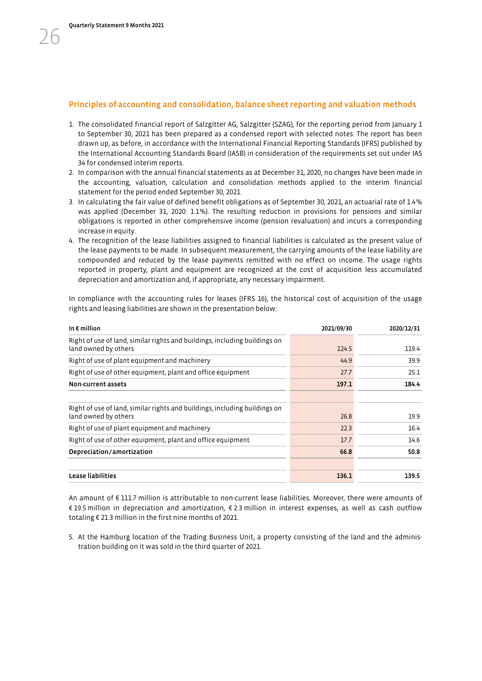### Principles of accounting and consolidation, balance sheet reporting and valuation methods

- 1. The consolidated financial report of Salzgitter AG, Salzgitter (SZAG), for the reporting period from January 1 to September 30, 2021 has been prepared as a condensed report with selected notes. The report has been drawn up, as before, in accordance with the International Financial Reporting Standards (IFRS) published by the International Accounting Standards Board (IASB) in consideration of the requirements set out under IAS 34 for condensed interim reports.
- 2. In comparison with the annual financial statements as at December 31, 2020, no changes have been made in the accounting, valuation, calculation and consolidation methods applied to the interim financial statement for the period ended September 30, 2021.
- 3. In calculating the fair value of defined benefit obligations as of September 30, 2021, an actuarial rate of 1.4% was applied (December 31, 2020: 1.1%). The resulting reduction in provisions for pensions and similar obligations is reported in other comprehensive income (pension revaluation) and incurs a corresponding increase in equity.
- 4. The recognition of the lease liabilities assigned to financial liabilities is calculated as the present value of the lease payments to be made. In subsequent measurement, the carrying amounts of the lease liability are compounded and reduced by the lease payments remitted with no effect on income. The usage rights reported in property, plant and equipment are recognized at the cost of acquisition less accumulated depreciation and amortization and, if appropriate, any necessary impairment.

In compliance with the accounting rules for leases (IFRS 16), the historical cost of acquisition of the usage rights and leasing liabilities are shown in the presentation below:

| In $\epsilon$ million                                                                              | 2021/09/30 | 2020/12/31 |
|----------------------------------------------------------------------------------------------------|------------|------------|
| Right of use of land, similar rights and buildings, including buildings on<br>land owned by others | 124.5      | 119.4      |
| Right of use of plant equipment and machinery                                                      | 44.9       | 39.9       |
| Right of use of other equipment, plant and office equipment                                        | 27.7       | 25.1       |
| Non-current assets                                                                                 | 197.1      | 184.4      |
|                                                                                                    |            |            |
| Right of use of land, similar rights and buildings, including buildings on<br>land owned by others | 26.8       | 19.9       |
| Right of use of plant equipment and machinery                                                      | 22.3       | 16.4       |
| Right of use of other equipment, plant and office equipment                                        | 17.7       | 14.6       |
| Depreciation/amortization                                                                          | 66.8       | 50.8       |
| Lease liabilities                                                                                  | 136.1      | 139.5      |

An amount of € 111.7 million is attributable to non-current lease liabilities. Moreover, there were amounts of € 19.5 million in depreciation and amortization, € 2.3 million in interest expenses, as well as cash outflow totaling € 21.3 million in the first nine months of 2021.

5. At the Hamburg location of the Trading Business Unit, a property consisting of the land and the administration building on it was sold in the third quarter of 2021.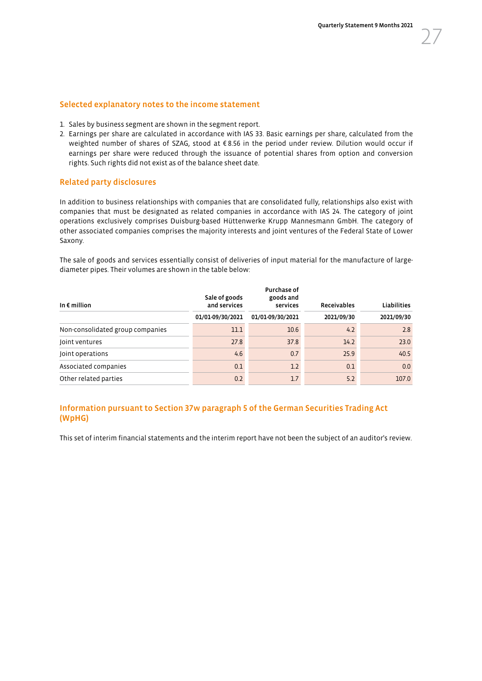#### Selected explanatory notes to the income statement

- 1. Sales by business segment are shown in the segment report.
- 2. Earnings per share are calculated in accordance with IAS 33. Basic earnings per share, calculated from the weighted number of shares of SZAG, stood at €8.56 in the period under review. Dilution would occur if earnings per share were reduced through the issuance of potential shares from option and conversion rights. Such rights did not exist as of the balance sheet date.

### Related party disclosures

In addition to business relationships with companies that are consolidated fully, relationships also exist with companies that must be designated as related companies in accordance with IAS 24. The category of joint operations exclusively comprises Duisburg-based Hüttenwerke Krupp Mannesmann GmbH. The category of other associated companies comprises the majority interests and joint ventures of the Federal State of Lower Saxony.

The sale of goods and services essentially consist of deliveries of input material for the manufacture of largediameter pipes. Their volumes are shown in the table below:

| In $\epsilon$ million            | Purchase of<br>Sale of goods<br>goods and<br>and services<br>services |                  | <b>Receivables</b> | <b>Liabilities</b> |  |
|----------------------------------|-----------------------------------------------------------------------|------------------|--------------------|--------------------|--|
|                                  | 01/01-09/30/2021                                                      | 01/01-09/30/2021 | 2021/09/30         | 2021/09/30         |  |
| Non-consolidated group companies | 11.1                                                                  | 10.6             | 4.2                | 2.8                |  |
| Joint ventures                   | 27.8                                                                  | 37.8             | 14.2               | 23.0               |  |
| Joint operations                 | 4.6                                                                   | 0.7              | 25.9               | 40.5               |  |
| Associated companies             | 0.1                                                                   | 1.2              | 0.1                | 0.0                |  |
| Other related parties            | 0.2                                                                   | 1.7              | 5.2                | 107.0              |  |
|                                  |                                                                       |                  |                    |                    |  |

### Information pursuant to Section 37w paragraph 5 of the German Securities Trading Act (WpHG)

This set of interim financial statements and the interim report have not been the subject of an auditor's review.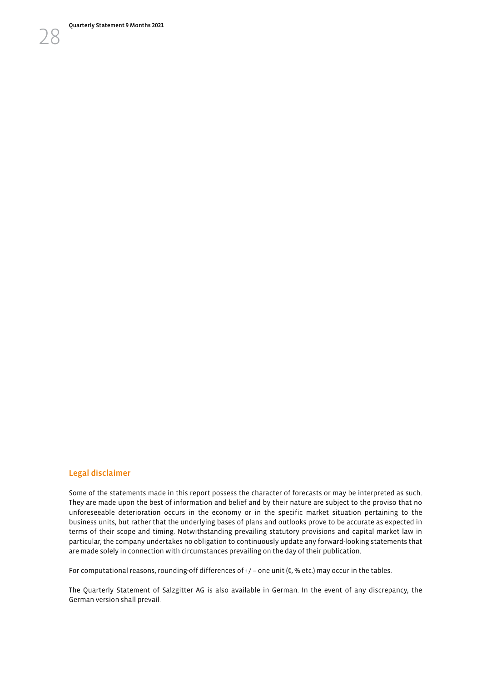Quarterly Statement 9 Months 2021

28

#### Legal disclaimer

Some of the statements made in this report possess the character of forecasts or may be interpreted as such. They are made upon the best of information and belief and by their nature are subject to the proviso that no unforeseeable deterioration occurs in the economy or in the specific market situation pertaining to the business units, but rather that the underlying bases of plans and outlooks prove to be accurate as expected in terms of their scope and timing. Notwithstanding prevailing statutory provisions and capital market law in particular, the company undertakes no obligation to continuously update any forward-looking statements that are made solely in connection with circumstances prevailing on the day of their publication.

For computational reasons, rounding-off differences of  $+/-$  one unit ( $\varepsilon$ , % etc.) may occur in the tables.

The Quarterly Statement of Salzgitter AG is also available in German. In the event of any discrepancy, the German version shall prevail.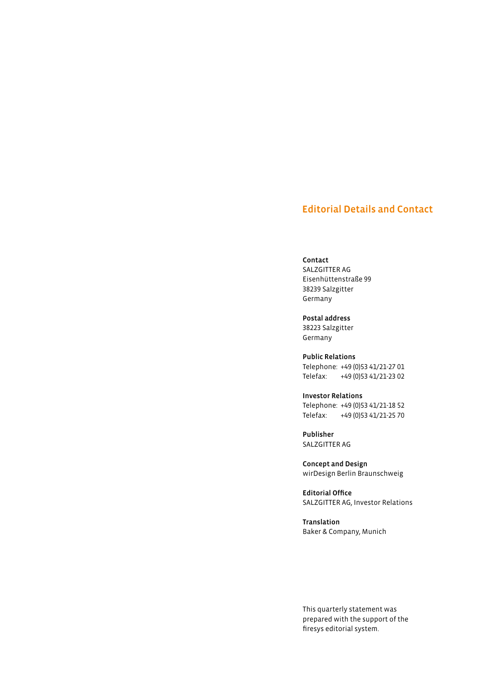## Editorial Details and Contact

#### Contact

SALZGITTER AG Eisenhüttenstraße 99 38239 Salzgitter Germany

Postal address 38223 Salzgitter Germany

Public Relations Telephone: +49 (0)53 41/21-27 01 Telefax: +49 (0)53 41/21-23 02

Investor Relations Telephone: +49 (0)53 41/21-18 52 Telefax: +49 (0)53 41/21-25 70

Publisher SALZGITTER AG

Concept and Design wirDesign Berlin Braunschweig

Editorial Office SALZGITTER AG, Investor Relations

Translation Baker & Company, Munich

This quarterly statement was prepared with the support of the firesys editorial system.